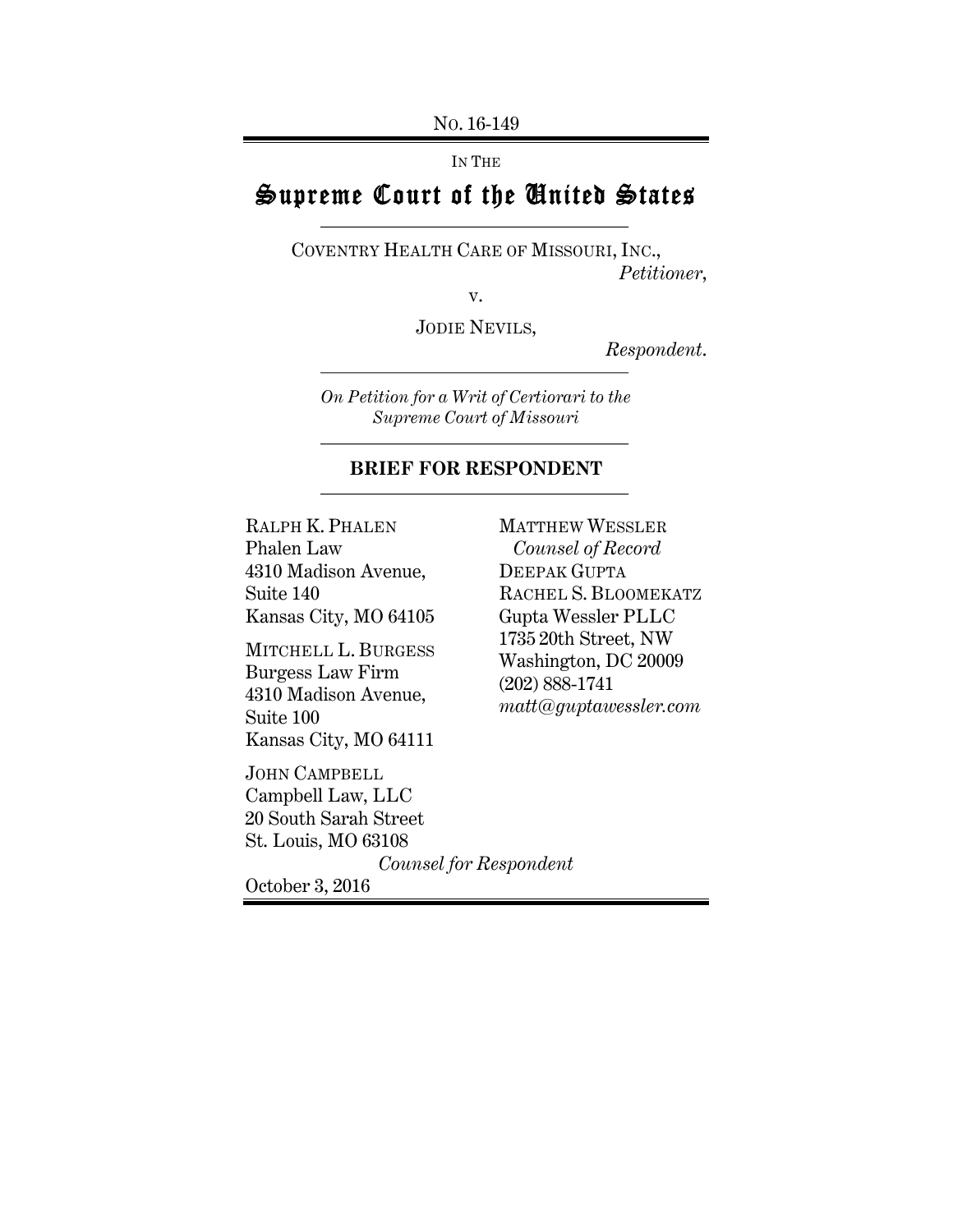NO. 16-149

IN THE

# Supreme Court of the United States

COVENTRY HEALTH CARE OF MISSOURI, INC., *Petitioner*,

v.

JODIE NEVILS,

*Respondent*.

*On Petition for a Writ of Certiorari to the Supreme Court of Missouri*

### **BRIEF FOR RESPONDENT**

RALPH K. PHALEN Phalen Law 4310 Madison Avenue, Suite 140 Kansas City, MO 64105

MITCHELL L. BURGESS Burgess Law Firm 4310 Madison Avenue, Suite 100 Kansas City, MO 64111

JOHN CAMPBELL Campbell Law, LLC 20 South Sarah Street St. Louis, MO 63108

MATTHEW WESSLER *Counsel of Record* DEEPAK GUPTA RACHEL S. BLOOMEKATZ Gupta Wessler PLLC 1735 20th Street, NW Washington, DC 20009 (202) 888-1741 *matt@guptawessler.com*

*Counsel for Respondent*

October 3, 2016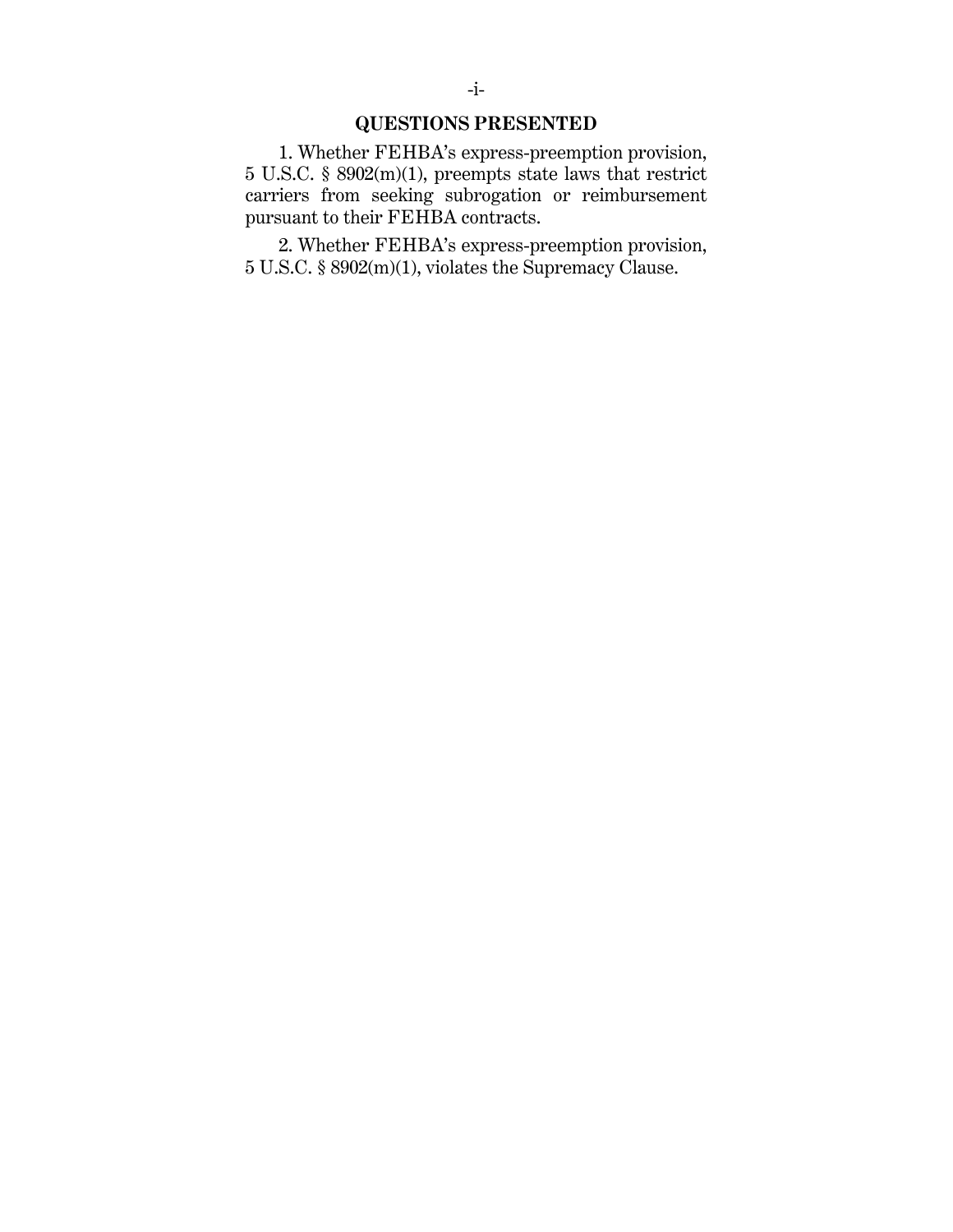## **QUESTIONS PRESENTED**

1. Whether FEHBA's express-preemption provision, 5 U.S.C. § 8902(m)(1), preempts state laws that restrict carriers from seeking subrogation or reimbursement pursuant to their FEHBA contracts.

2. Whether FEHBA's express-preemption provision, 5 U.S.C. § 8902(m)(1), violates the Supremacy Clause.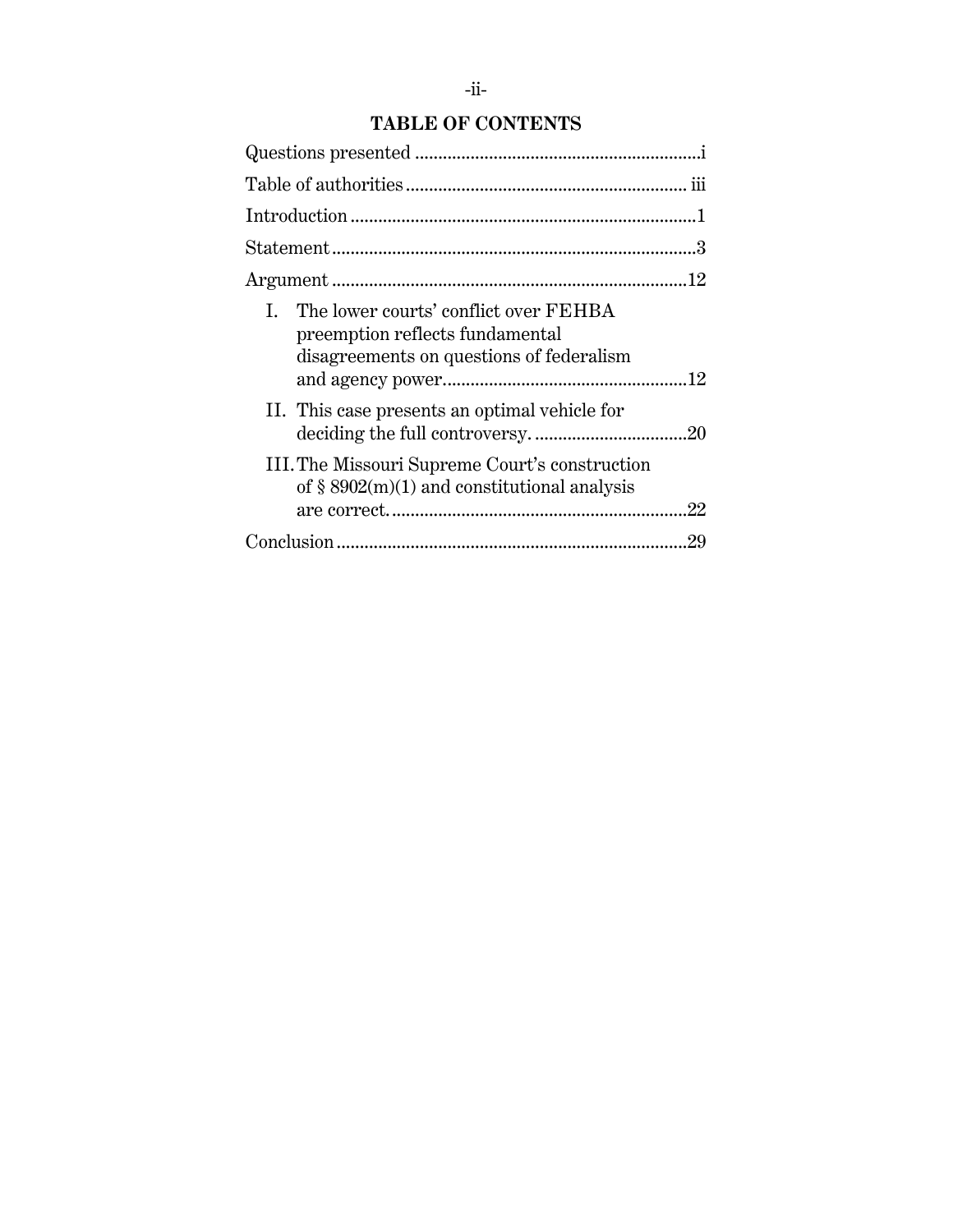# **TABLE OF CONTENTS**

| The lower courts' conflict over FEHBA<br>$\mathbf{L}$<br>preemption reflects fundamental<br>disagreements on questions of federalism |
|--------------------------------------------------------------------------------------------------------------------------------------|
| II. This case presents an optimal vehicle for                                                                                        |
| III. The Missouri Supreme Court's construction<br>of $\S$ 8902(m)(1) and constitutional analysis                                     |
| .29                                                                                                                                  |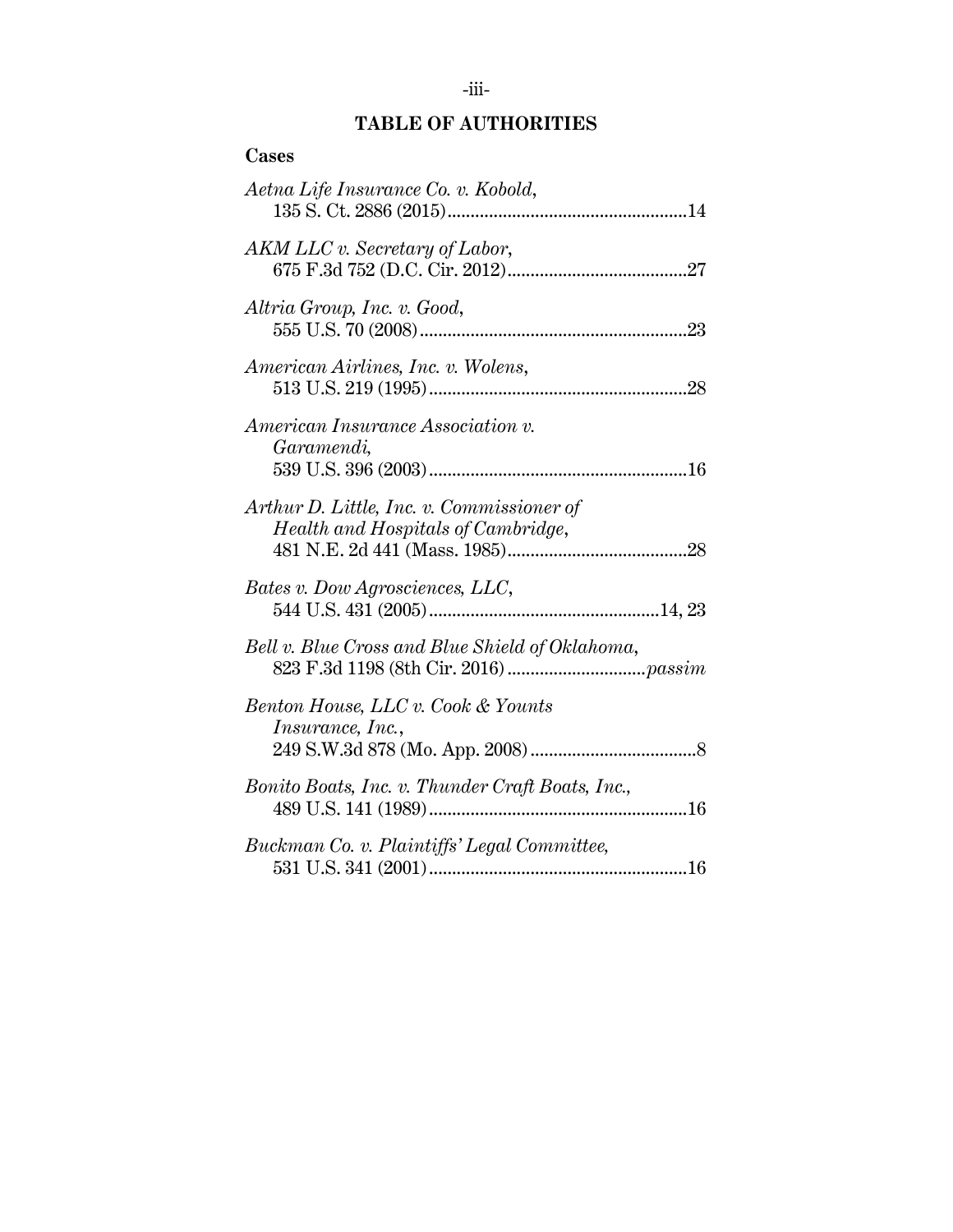## **TABLE OF AUTHORITIES**

| <b>Cases</b>                                                                    |
|---------------------------------------------------------------------------------|
| Aetna Life Insurance Co. v. Kobold,                                             |
| AKM LLC v. Secretary of Labor,                                                  |
| Altria Group, Inc. v. Good,                                                     |
| American Airlines, Inc. v. Wolens,                                              |
| American Insurance Association v.<br>Garamendi,                                 |
| Arthur D. Little, Inc. v. Commissioner of<br>Health and Hospitals of Cambridge, |
| Bates v. Dow Agrosciences, LLC,                                                 |
| Bell v. Blue Cross and Blue Shield of Oklahoma,                                 |
| Benton House, LLC v. Cook & Younts<br>Insurance, Inc.,                          |
| Bonito Boats, Inc. v. Thunder Craft Boats, Inc.,                                |
| Buckman Co. v. Plaintiffs' Legal Committee,                                     |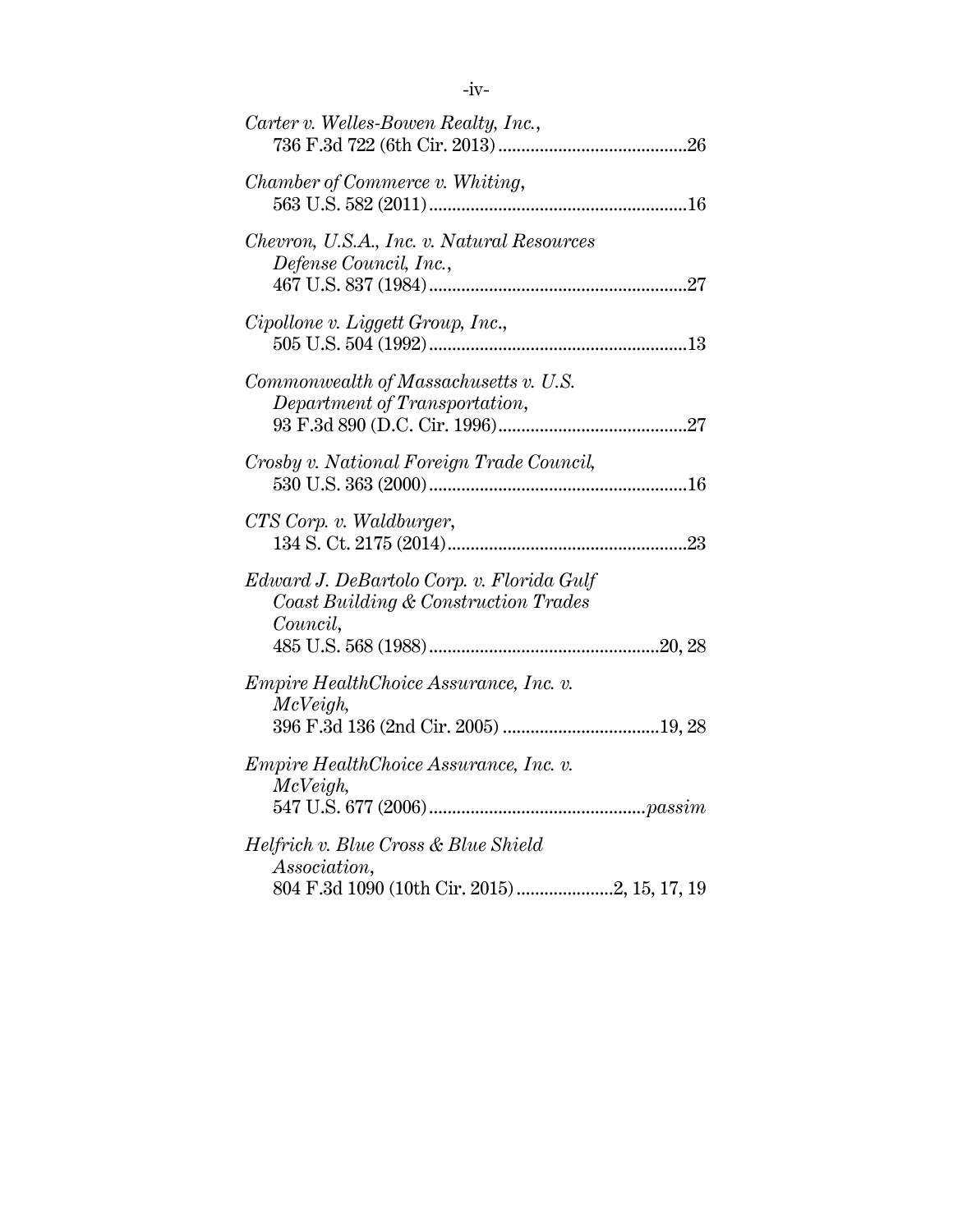| Carter v. Welles-Bowen Realty, Inc.,                                                          |
|-----------------------------------------------------------------------------------------------|
| Chamber of Commerce v. Whiting,                                                               |
| Chevron, U.S.A., Inc. v. Natural Resources<br>Defense Council, Inc.,                          |
| Cipollone v. Liggett Group, Inc.,                                                             |
| Commonwealth of Massachusetts v. U.S.<br>Department of Transportation,                        |
| Crosby v. National Foreign Trade Council,                                                     |
| CTS Corp. v. Waldburger,                                                                      |
| Edward J. DeBartolo Corp. v. Florida Gulf<br>Coast Building & Construction Trades<br>Council, |
| Empire HealthChoice Assurance, Inc. v.<br>McVeigh,                                            |
| <i>Empire HealthChoice Assurance, Inc. v.</i><br>McVeigh,                                     |
| Helfrich v. Blue Cross & Blue Shield<br>Association,                                          |
|                                                                                               |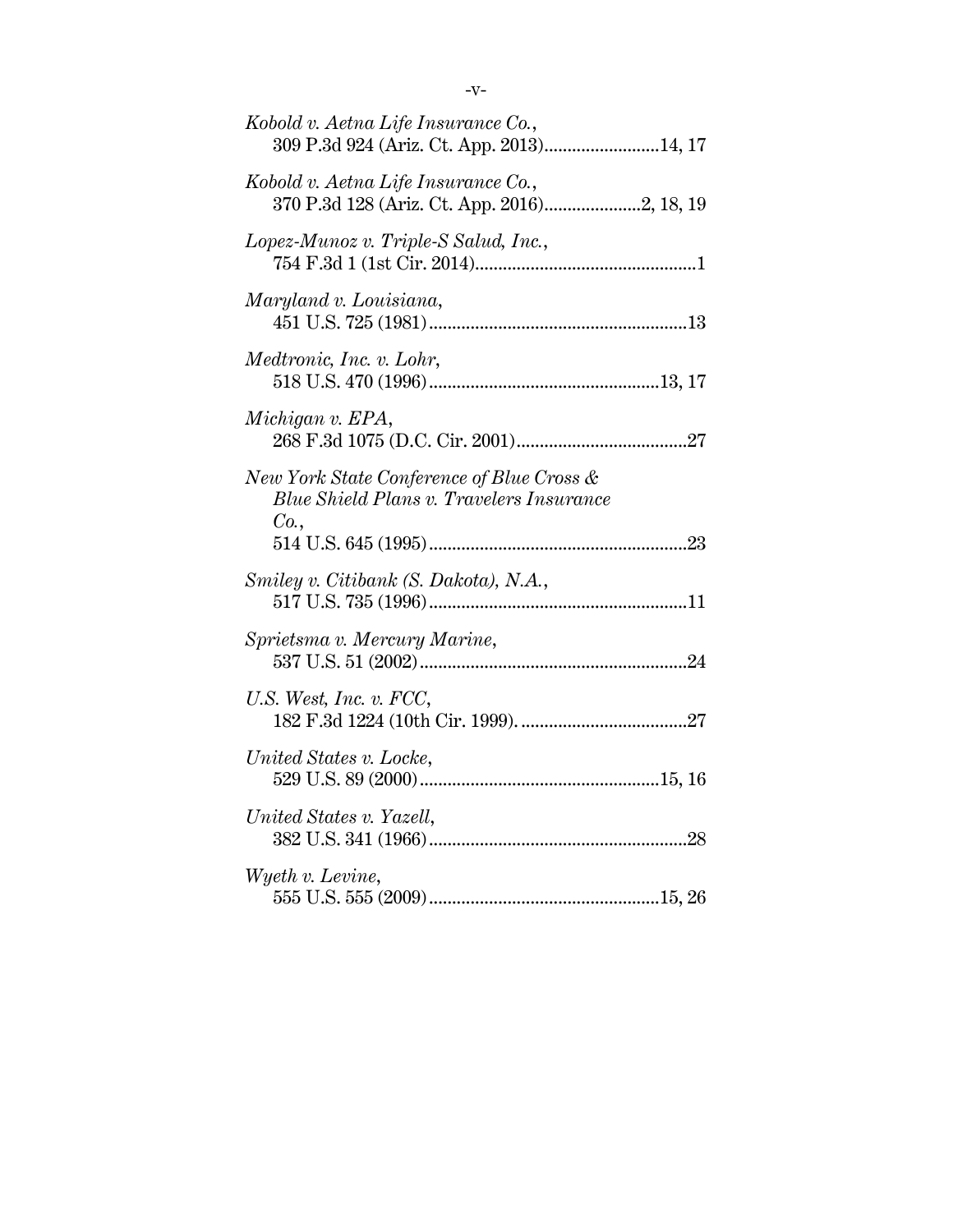| Kobold v. Aetna Life Insurance Co.,<br>309 P.3d 924 (Ariz. Ct. App. 2013)14, 17               |
|-----------------------------------------------------------------------------------------------|
| Kobold v. Aetna Life Insurance Co.,                                                           |
| Lopez-Munoz v. Triple-S Salud, Inc.,                                                          |
| Maryland v. Louisiana,                                                                        |
| Medtronic, Inc. v. Lohr,                                                                      |
| Michigan v. EPA,                                                                              |
| New York State Conference of Blue Cross &<br>Blue Shield Plans v. Travelers Insurance<br>Co., |
| Smiley v. Citibank (S. Dakota), N.A.,                                                         |
| Sprietsma v. Mercury Marine,                                                                  |
| U.S. West, Inc. v. FCC,                                                                       |
| United States v. Locke,                                                                       |
| United States v. Yazell,                                                                      |
| Wyeth v. Levine,                                                                              |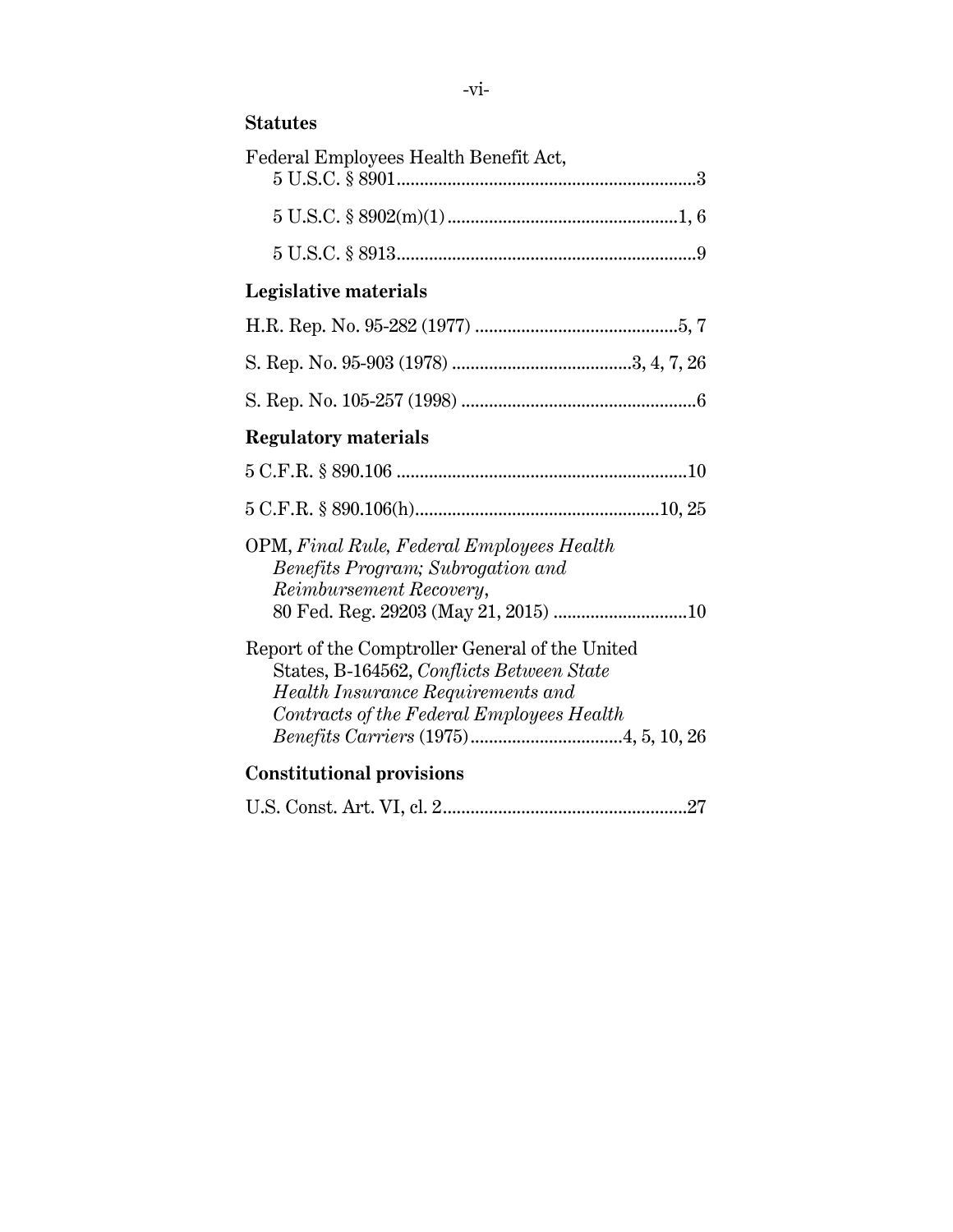## **Statutes**

| Federal Employees Health Benefit Act,                                                                                                                                          |
|--------------------------------------------------------------------------------------------------------------------------------------------------------------------------------|
|                                                                                                                                                                                |
|                                                                                                                                                                                |
| Legislative materials                                                                                                                                                          |
|                                                                                                                                                                                |
|                                                                                                                                                                                |
|                                                                                                                                                                                |
| <b>Regulatory materials</b>                                                                                                                                                    |
|                                                                                                                                                                                |
|                                                                                                                                                                                |
| OPM, Final Rule, Federal Employees Health<br>Benefits Program; Subrogation and<br>Reimbursement Recovery,                                                                      |
| Report of the Comptroller General of the United<br>States, B-164562, Conflicts Between State<br>Health Insurance Requirements and<br>Contracts of the Federal Employees Health |
| <b>Constitutional provisions</b>                                                                                                                                               |
|                                                                                                                                                                                |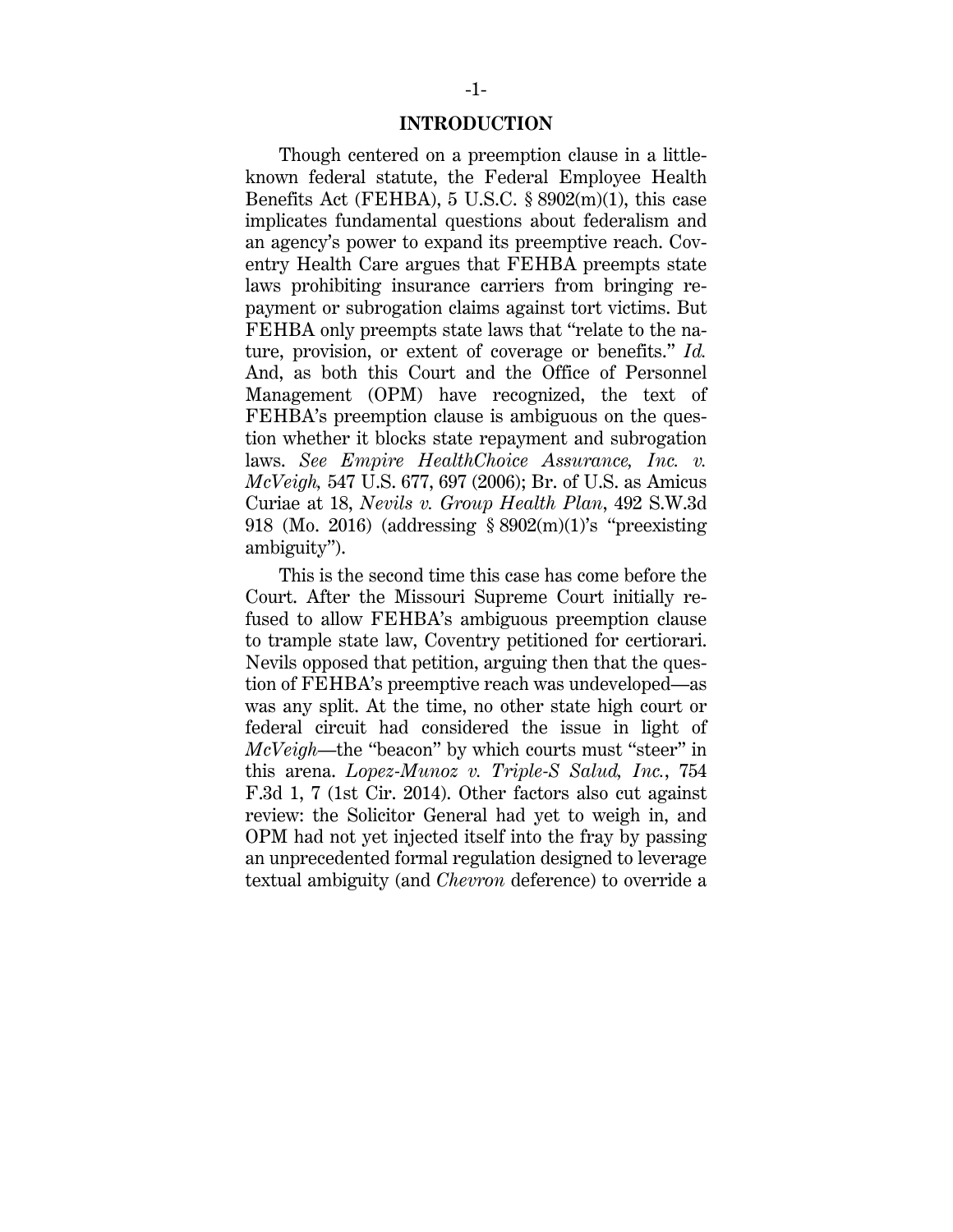#### **INTRODUCTION**

Though centered on a preemption clause in a littleknown federal statute, the Federal Employee Health Benefits Act (FEHBA),  $5 \text{ U.S.C. }$   $8\,902 \text{(m)}$ (1), this case implicates fundamental questions about federalism and an agency's power to expand its preemptive reach. Coventry Health Care argues that FEHBA preempts state laws prohibiting insurance carriers from bringing repayment or subrogation claims against tort victims. But FEHBA only preempts state laws that "relate to the nature, provision, or extent of coverage or benefits." *Id.* And, as both this Court and the Office of Personnel Management (OPM) have recognized, the text of FEHBA's preemption clause is ambiguous on the question whether it blocks state repayment and subrogation laws. *See Empire HealthChoice Assurance, Inc. v. McVeigh,* 547 U.S. 677, 697 (2006); Br. of U.S. as Amicus Curiae at 18, *Nevils v. Group Health Plan*, 492 S.W.3d 918 (Mo. 2016) (addressing § 8902(m)(1)'s "preexisting ambiguity").

This is the second time this case has come before the Court. After the Missouri Supreme Court initially refused to allow FEHBA's ambiguous preemption clause to trample state law, Coventry petitioned for certiorari. Nevils opposed that petition, arguing then that the question of FEHBA's preemptive reach was undeveloped—as was any split. At the time, no other state high court or federal circuit had considered the issue in light of *McVeigh*—the "beacon" by which courts must "steer" in this arena. *Lopez-Munoz v. Triple-S Salud, Inc.*, 754 F.3d 1, 7 (1st Cir. 2014). Other factors also cut against review: the Solicitor General had yet to weigh in, and OPM had not yet injected itself into the fray by passing an unprecedented formal regulation designed to leverage textual ambiguity (and *Chevron* deference) to override a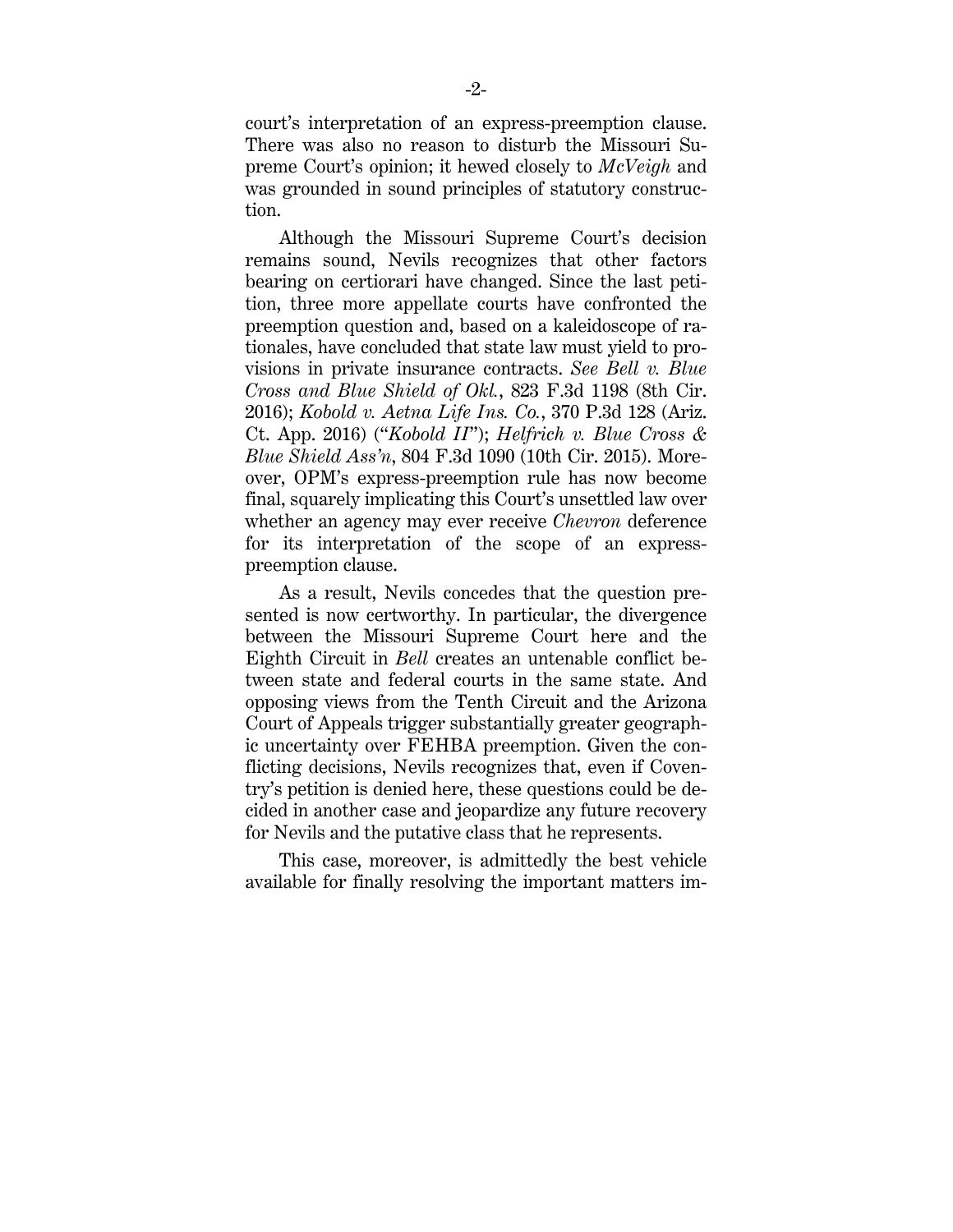court's interpretation of an express-preemption clause. There was also no reason to disturb the Missouri Supreme Court's opinion; it hewed closely to *McVeigh* and was grounded in sound principles of statutory construction.

Although the Missouri Supreme Court's decision remains sound, Nevils recognizes that other factors bearing on certiorari have changed. Since the last petition, three more appellate courts have confronted the preemption question and, based on a kaleidoscope of rationales, have concluded that state law must yield to provisions in private insurance contracts. *See Bell v. Blue Cross and Blue Shield of Okl.*, 823 F.3d 1198 (8th Cir. 2016); *Kobold v. Aetna Life Ins. Co.*, 370 P.3d 128 (Ariz. Ct. App. 2016) ("*Kobold II*"); *Helfrich v. Blue Cross & Blue Shield Ass'n*, 804 F.3d 1090 (10th Cir. 2015). Moreover, OPM's express-preemption rule has now become final, squarely implicating this Court's unsettled law over whether an agency may ever receive *Chevron* deference for its interpretation of the scope of an expresspreemption clause.

As a result, Nevils concedes that the question presented is now certworthy. In particular, the divergence between the Missouri Supreme Court here and the Eighth Circuit in *Bell* creates an untenable conflict between state and federal courts in the same state. And opposing views from the Tenth Circuit and the Arizona Court of Appeals trigger substantially greater geographic uncertainty over FEHBA preemption. Given the conflicting decisions, Nevils recognizes that, even if Coventry's petition is denied here, these questions could be decided in another case and jeopardize any future recovery for Nevils and the putative class that he represents.

This case, moreover, is admittedly the best vehicle available for finally resolving the important matters im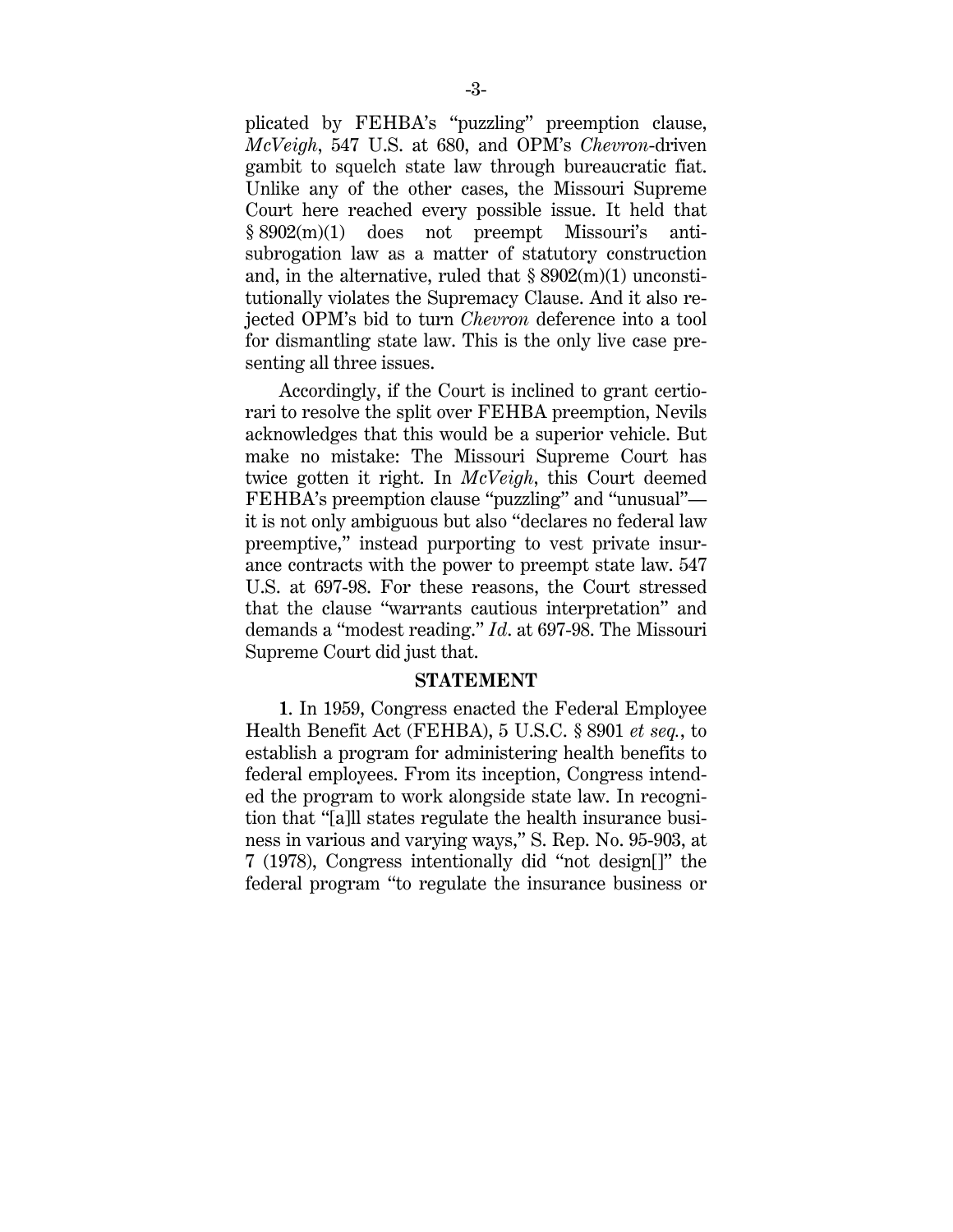plicated by FEHBA's "puzzling" preemption clause, *McVeigh*, 547 U.S. at 680, and OPM's *Chevron*-driven gambit to squelch state law through bureaucratic fiat. Unlike any of the other cases, the Missouri Supreme Court here reached every possible issue. It held that § 8902(m)(1) does not preempt Missouri's antisubrogation law as a matter of statutory construction and, in the alternative, ruled that  $\S 8902(m)(1)$  unconstitutionally violates the Supremacy Clause. And it also rejected OPM's bid to turn *Chevron* deference into a tool for dismantling state law. This is the only live case presenting all three issues.

Accordingly, if the Court is inclined to grant certiorari to resolve the split over FEHBA preemption, Nevils acknowledges that this would be a superior vehicle. But make no mistake: The Missouri Supreme Court has twice gotten it right. In *McVeigh*, this Court deemed FEHBA's preemption clause "puzzling" and "unusual" it is not only ambiguous but also "declares no federal law preemptive," instead purporting to vest private insurance contracts with the power to preempt state law. 547 U.S. at 697-98. For these reasons, the Court stressed that the clause "warrants cautious interpretation" and demands a "modest reading." *Id*. at 697-98. The Missouri Supreme Court did just that.

#### **STATEMENT**

**1**. In 1959, Congress enacted the Federal Employee Health Benefit Act (FEHBA), 5 U.S.C. § 8901 *et seq.*, to establish a program for administering health benefits to federal employees. From its inception, Congress intended the program to work alongside state law. In recognition that "[a]ll states regulate the health insurance business in various and varying ways," S. Rep. No. 95-903, at 7 (1978), Congress intentionally did "not design[]" the federal program "to regulate the insurance business or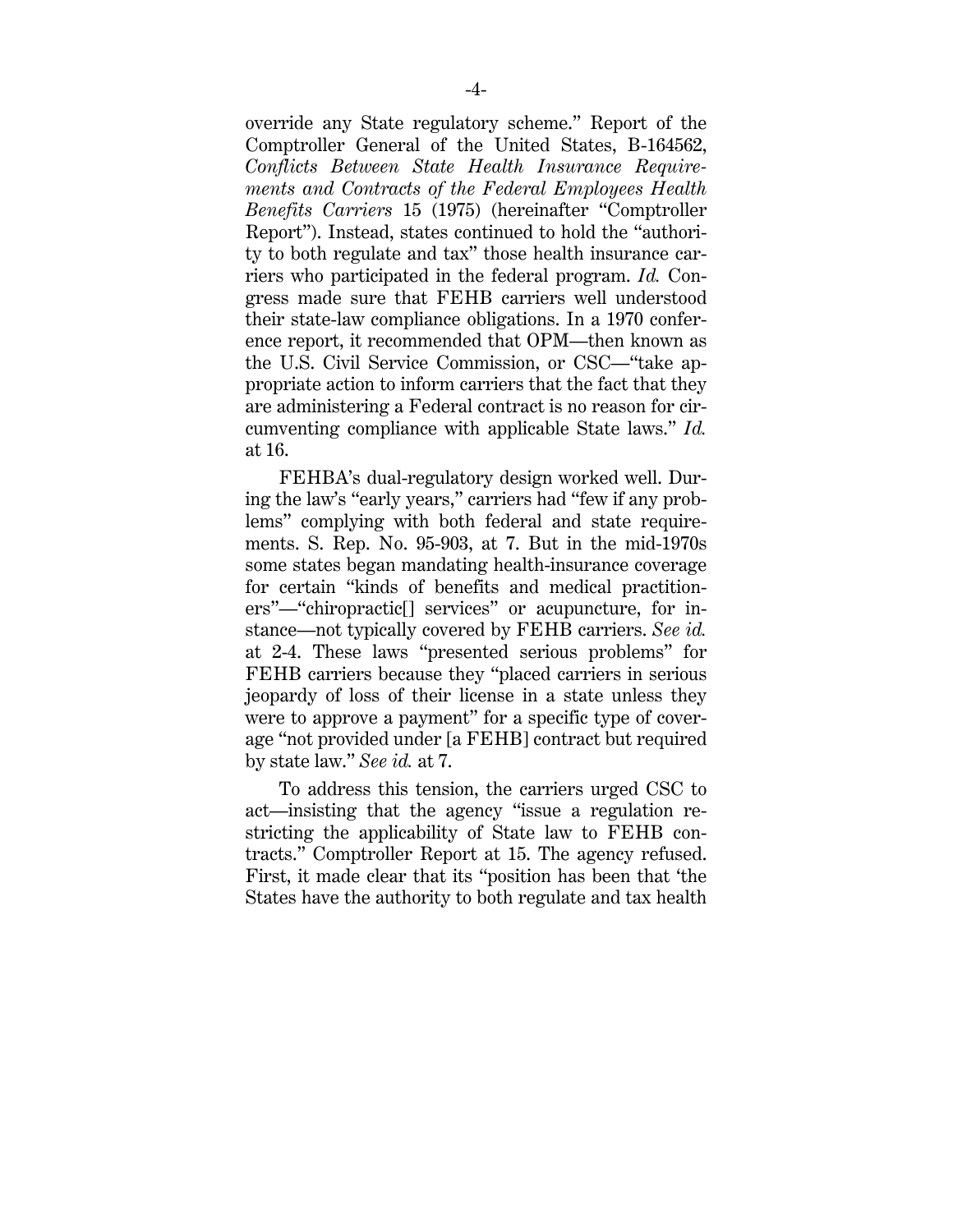override any State regulatory scheme." Report of the Comptroller General of the United States, B-164562, *Conflicts Between State Health Insurance Requirements and Contracts of the Federal Employees Health Benefits Carriers* 15 (1975) (hereinafter "Comptroller Report"). Instead, states continued to hold the "authority to both regulate and tax" those health insurance carriers who participated in the federal program. *Id.* Congress made sure that FEHB carriers well understood their state-law compliance obligations. In a 1970 conference report, it recommended that OPM—then known as the U.S. Civil Service Commission, or CSC—"take appropriate action to inform carriers that the fact that they are administering a Federal contract is no reason for circumventing compliance with applicable State laws." *Id.* at 16.

FEHBA's dual-regulatory design worked well. During the law's "early years," carriers had "few if any problems" complying with both federal and state requirements. S. Rep. No. 95-903, at 7. But in the mid-1970s some states began mandating health-insurance coverage for certain "kinds of benefits and medical practitioners"—"chiropractic[] services" or acupuncture, for instance—not typically covered by FEHB carriers. *See id.* at 2-4. These laws "presented serious problems" for FEHB carriers because they "placed carriers in serious jeopardy of loss of their license in a state unless they were to approve a payment" for a specific type of coverage "not provided under [a FEHB] contract but required by state law." *See id.* at 7.

To address this tension, the carriers urged CSC to act—insisting that the agency "issue a regulation restricting the applicability of State law to FEHB contracts." Comptroller Report at 15. The agency refused. First, it made clear that its "position has been that 'the States have the authority to both regulate and tax health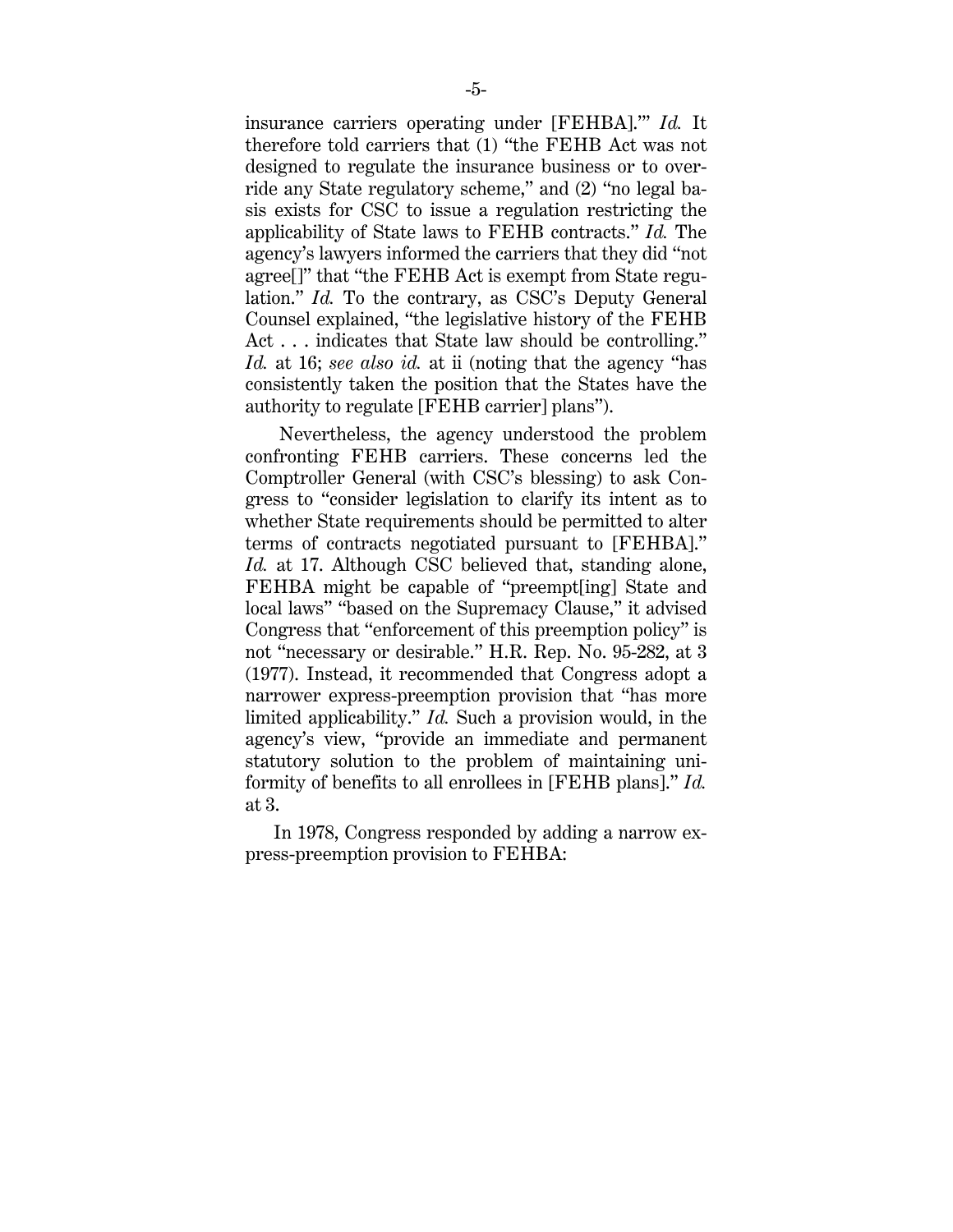insurance carriers operating under [FEHBA].'" *Id.* It therefore told carriers that (1) "the FEHB Act was not designed to regulate the insurance business or to override any State regulatory scheme," and (2) "no legal basis exists for CSC to issue a regulation restricting the applicability of State laws to FEHB contracts." *Id.* The agency's lawyers informed the carriers that they did "not agree[]" that "the FEHB Act is exempt from State regulation." *Id.* To the contrary, as CSC's Deputy General Counsel explained, "the legislative history of the FEHB Act . . . indicates that State law should be controlling." *Id.* at 16; *see also id.* at ii (noting that the agency "has consistently taken the position that the States have the authority to regulate [FEHB carrier] plans").

Nevertheless, the agency understood the problem confronting FEHB carriers. These concerns led the Comptroller General (with CSC's blessing) to ask Congress to "consider legislation to clarify its intent as to whether State requirements should be permitted to alter terms of contracts negotiated pursuant to [FEHBA]." *Id.* at 17. Although CSC believed that, standing alone, FEHBA might be capable of "preempt[ing] State and local laws" "based on the Supremacy Clause," it advised Congress that "enforcement of this preemption policy" is not "necessary or desirable." H.R. Rep. No. 95-282, at 3 (1977). Instead, it recommended that Congress adopt a narrower express-preemption provision that "has more limited applicability." *Id.* Such a provision would, in the agency's view, "provide an immediate and permanent statutory solution to the problem of maintaining uniformity of benefits to all enrollees in [FEHB plans]." *Id.* at 3.

In 1978, Congress responded by adding a narrow express-preemption provision to FEHBA: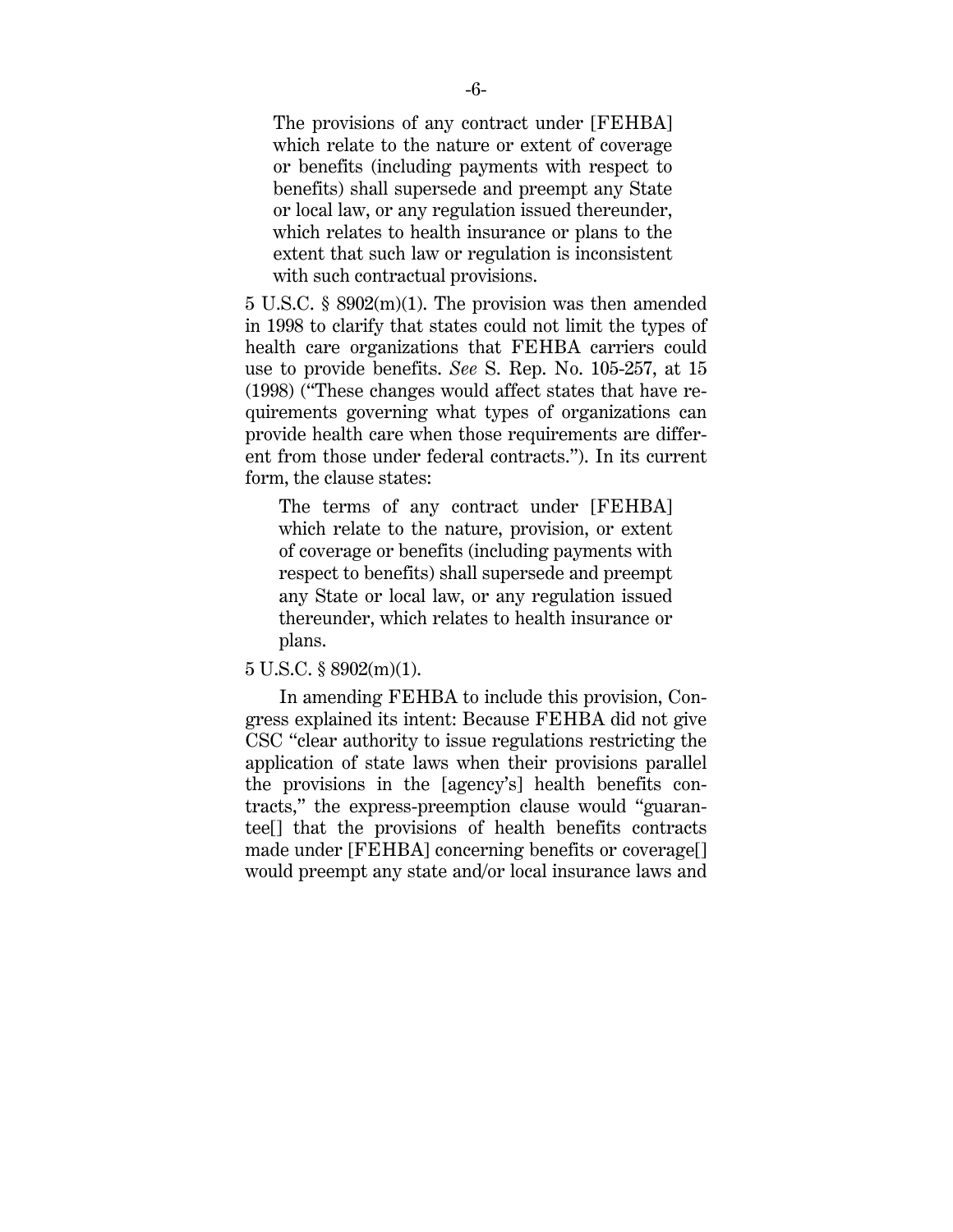The provisions of any contract under [FEHBA] which relate to the nature or extent of coverage or benefits (including payments with respect to benefits) shall supersede and preempt any State or local law, or any regulation issued thereunder, which relates to health insurance or plans to the extent that such law or regulation is inconsistent with such contractual provisions.

5 U.S.C. § 8902(m)(1). The provision was then amended in 1998 to clarify that states could not limit the types of health care organizations that FEHBA carriers could use to provide benefits. *See* S. Rep. No. 105-257, at 15 (1998) ("These changes would affect states that have requirements governing what types of organizations can provide health care when those requirements are different from those under federal contracts."). In its current form, the clause states:

The terms of any contract under [FEHBA] which relate to the nature, provision, or extent of coverage or benefits (including payments with respect to benefits) shall supersede and preempt any State or local law, or any regulation issued thereunder, which relates to health insurance or plans.

5 U.S.C. § 8902(m)(1).

In amending FEHBA to include this provision, Congress explained its intent: Because FEHBA did not give CSC "clear authority to issue regulations restricting the application of state laws when their provisions parallel the provisions in the [agency's] health benefits contracts," the express-preemption clause would "guarantee[] that the provisions of health benefits contracts made under [FEHBA] concerning benefits or coverage[] would preempt any state and/or local insurance laws and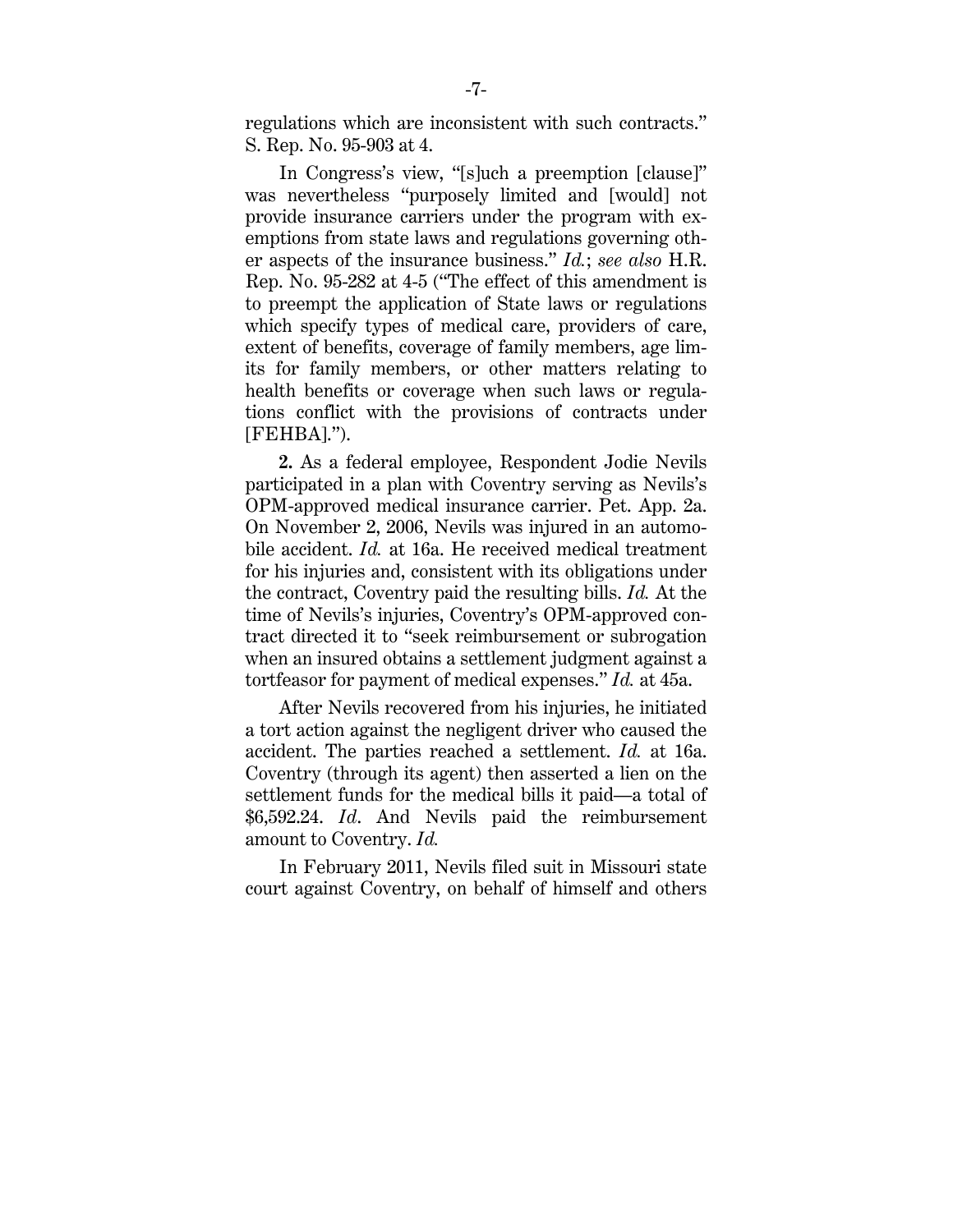regulations which are inconsistent with such contracts." S. Rep. No. 95-903 at 4.

In Congress's view, "[s]uch a preemption [clause]" was nevertheless "purposely limited and [would] not provide insurance carriers under the program with exemptions from state laws and regulations governing other aspects of the insurance business." *Id.*; *see also* H.R. Rep. No. 95-282 at 4-5 ("The effect of this amendment is to preempt the application of State laws or regulations which specify types of medical care, providers of care, extent of benefits, coverage of family members, age limits for family members, or other matters relating to health benefits or coverage when such laws or regulations conflict with the provisions of contracts under [FEHBA].").

**2.** As a federal employee, Respondent Jodie Nevils participated in a plan with Coventry serving as Nevils's OPM-approved medical insurance carrier. Pet. App. 2a. On November 2, 2006, Nevils was injured in an automobile accident. *Id.* at 16a. He received medical treatment for his injuries and, consistent with its obligations under the contract, Coventry paid the resulting bills. *Id.* At the time of Nevils's injuries, Coventry's OPM-approved contract directed it to "seek reimbursement or subrogation when an insured obtains a settlement judgment against a tortfeasor for payment of medical expenses." *Id.* at 45a.

After Nevils recovered from his injuries, he initiated a tort action against the negligent driver who caused the accident. The parties reached a settlement. *Id.* at 16a. Coventry (through its agent) then asserted a lien on the settlement funds for the medical bills it paid—a total of \$6,592.24. *Id*. And Nevils paid the reimbursement amount to Coventry. *Id.* 

In February 2011, Nevils filed suit in Missouri state court against Coventry, on behalf of himself and others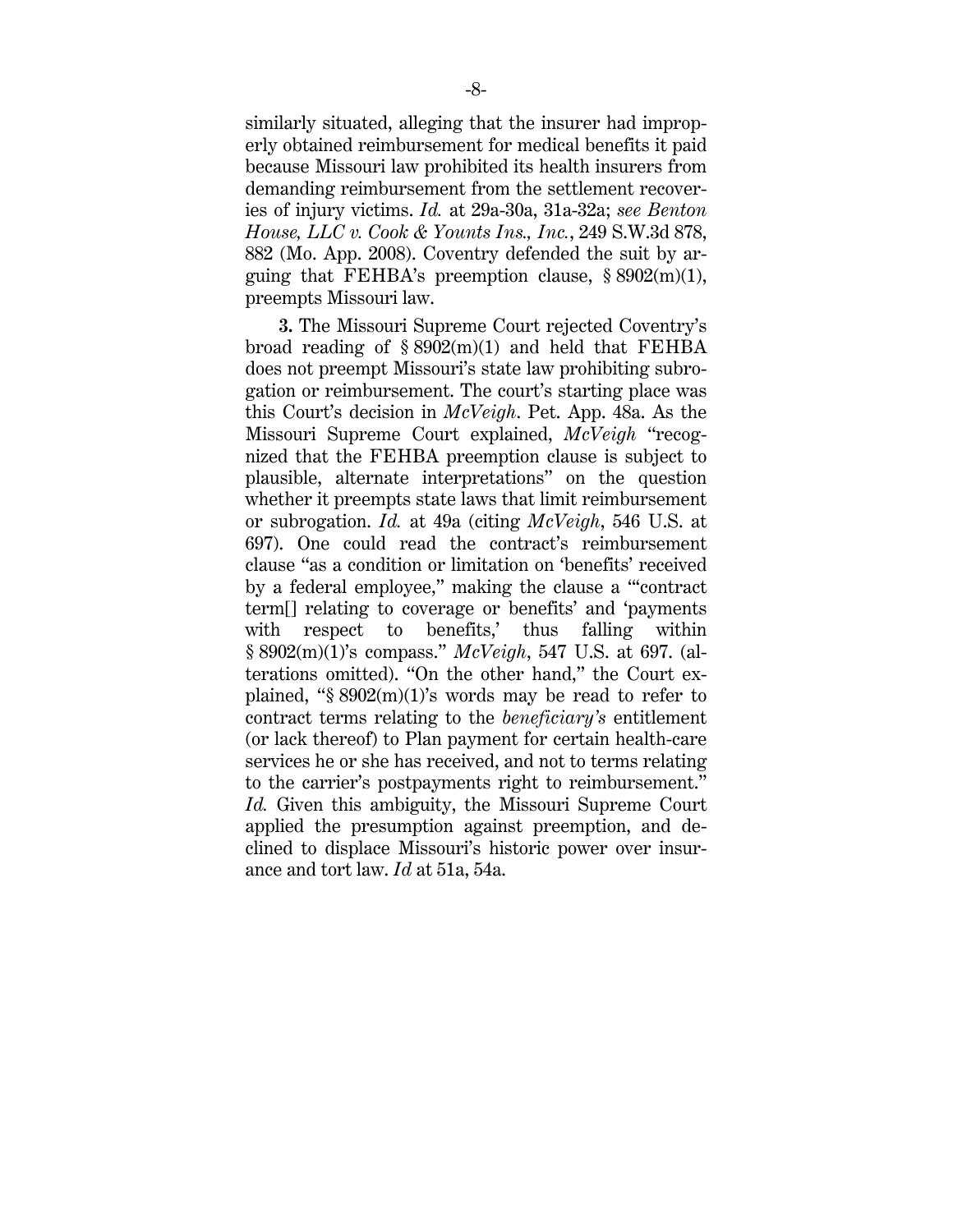similarly situated, alleging that the insurer had improperly obtained reimbursement for medical benefits it paid because Missouri law prohibited its health insurers from demanding reimbursement from the settlement recoveries of injury victims. *Id.* at 29a-30a, 31a-32a; *see Benton House, LLC v. Cook & Younts Ins., Inc.*, 249 S.W.3d 878, 882 (Mo. App. 2008). Coventry defended the suit by arguing that FEHBA's preemption clause,  $\S 8902(m)(1)$ , preempts Missouri law.

**3.** The Missouri Supreme Court rejected Coventry's broad reading of  $\S 8902(m)(1)$  and held that FEHBA does not preempt Missouri's state law prohibiting subrogation or reimbursement. The court's starting place was this Court's decision in *McVeigh*. Pet. App. 48a. As the Missouri Supreme Court explained, *McVeigh* "recognized that the FEHBA preemption clause is subject to plausible, alternate interpretations" on the question whether it preempts state laws that limit reimbursement or subrogation. *Id.* at 49a (citing *McVeigh*, 546 U.S. at 697). One could read the contract's reimbursement clause "as a condition or limitation on 'benefits' received by a federal employee," making the clause a "'contract term[] relating to coverage or benefits' and 'payments with respect to benefits,' thus falling within § 8902(m)(1)'s compass." *McVeigh*, 547 U.S. at 697. (alterations omitted). "On the other hand," the Court explained, " $\S 8902(m)(1)$ 's words may be read to refer to contract terms relating to the *beneficiary's* entitlement (or lack thereof) to Plan payment for certain health-care services he or she has received, and not to terms relating to the carrier's postpayments right to reimbursement." *Id.* Given this ambiguity, the Missouri Supreme Court applied the presumption against preemption, and declined to displace Missouri's historic power over insurance and tort law. *Id* at 51a, 54a.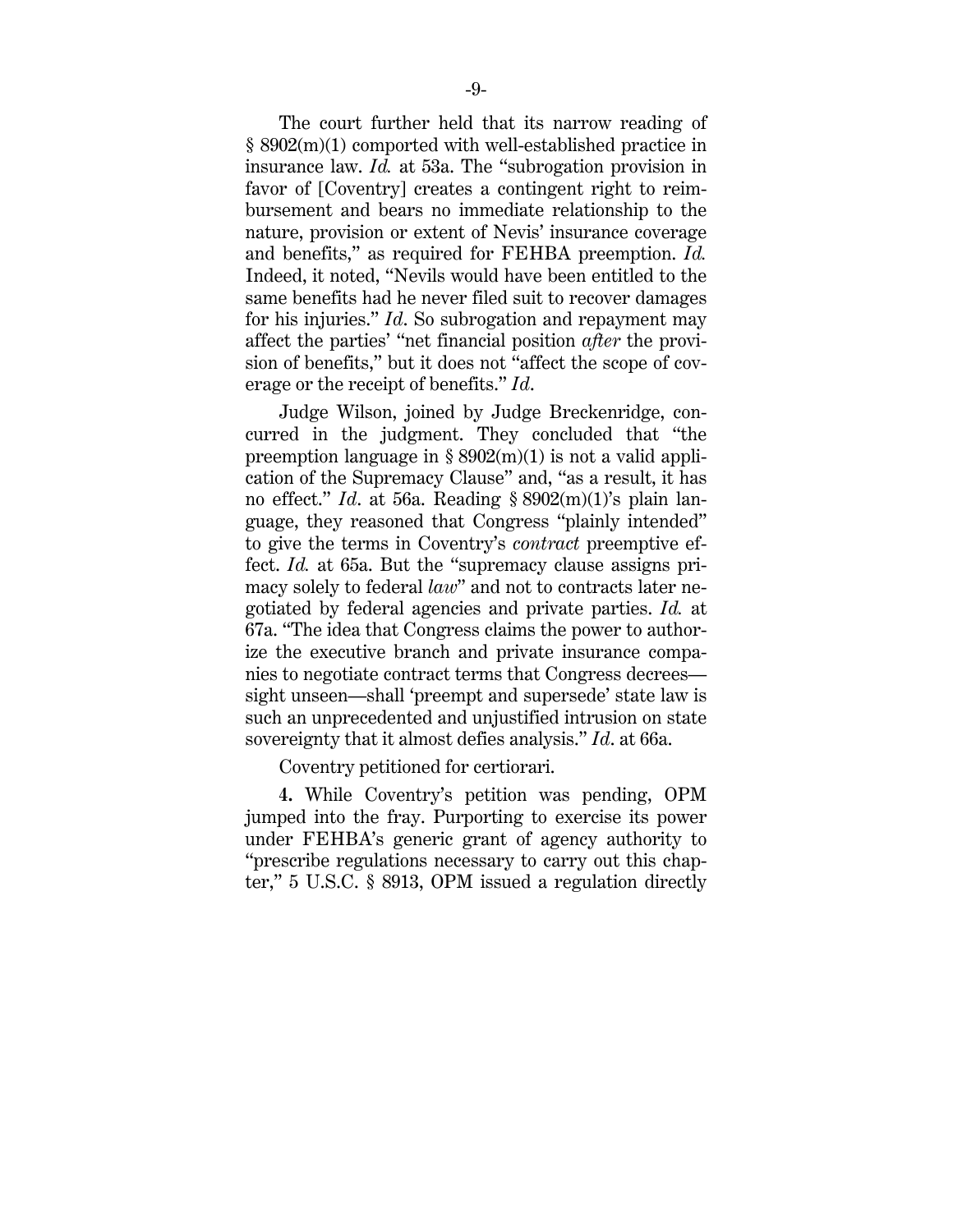The court further held that its narrow reading of § 8902(m)(1) comported with well-established practice in insurance law. *Id.* at 53a. The "subrogation provision in favor of [Coventry] creates a contingent right to reimbursement and bears no immediate relationship to the nature, provision or extent of Nevis' insurance coverage and benefits," as required for FEHBA preemption. *Id.*  Indeed, it noted, "Nevils would have been entitled to the same benefits had he never filed suit to recover damages for his injuries." *Id*. So subrogation and repayment may affect the parties' "net financial position *after* the provision of benefits," but it does not "affect the scope of coverage or the receipt of benefits." *Id*.

Judge Wilson, joined by Judge Breckenridge, concurred in the judgment. They concluded that "the preemption language in  $\S 8902(m)(1)$  is not a valid application of the Supremacy Clause" and, "as a result, it has no effect." *Id*. at 56a. Reading § 8902(m)(1)'s plain language, they reasoned that Congress "plainly intended" to give the terms in Coventry's *contract* preemptive effect. *Id.* at 65a. But the "supremacy clause assigns primacy solely to federal *law*" and not to contracts later negotiated by federal agencies and private parties. *Id.* at 67a. "The idea that Congress claims the power to authorize the executive branch and private insurance companies to negotiate contract terms that Congress decrees sight unseen—shall 'preempt and supersede' state law is such an unprecedented and unjustified intrusion on state sovereignty that it almost defies analysis." *Id*. at 66a.

Coventry petitioned for certiorari.

**4.** While Coventry's petition was pending, OPM jumped into the fray. Purporting to exercise its power under FEHBA's generic grant of agency authority to "prescribe regulations necessary to carry out this chapter," 5 U.S.C. § 8913, OPM issued a regulation directly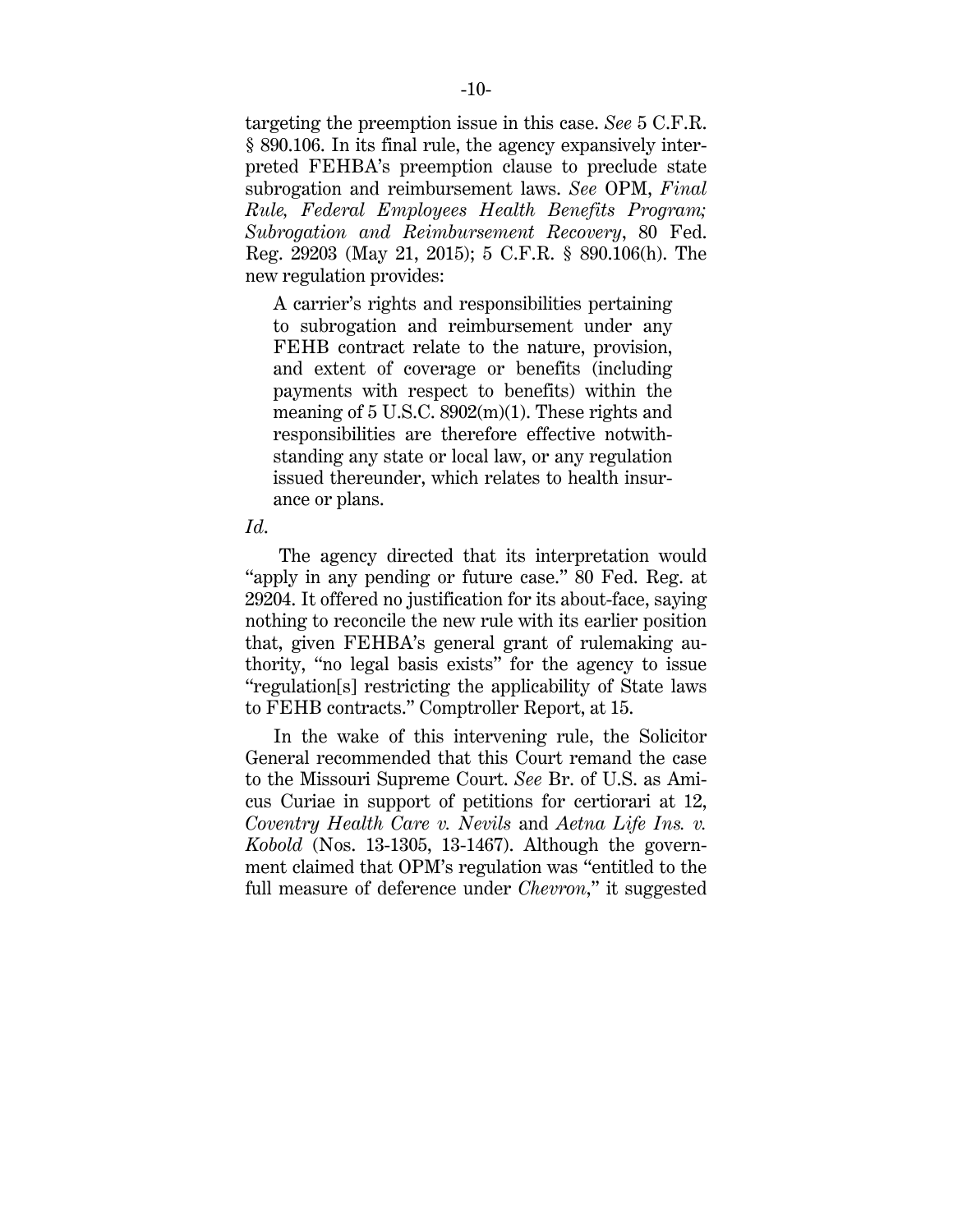targeting the preemption issue in this case. *See* 5 C.F.R. § 890.106. In its final rule, the agency expansively interpreted FEHBA's preemption clause to preclude state subrogation and reimbursement laws. *See* OPM, *Final Rule, Federal Employees Health Benefits Program; Subrogation and Reimbursement Recovery*, 80 Fed. Reg. 29203 (May 21, 2015); 5 C.F.R. § 890.106(h). The new regulation provides:

A carrier's rights and responsibilities pertaining to subrogation and reimbursement under any FEHB contract relate to the nature, provision, and extent of coverage or benefits (including payments with respect to benefits) within the meaning of 5 U.S.C. 8902(m)(1). These rights and responsibilities are therefore effective notwithstanding any state or local law, or any regulation issued thereunder, which relates to health insurance or plans.

#### *Id*.

The agency directed that its interpretation would "apply in any pending or future case." 80 Fed. Reg. at 29204. It offered no justification for its about-face, saying nothing to reconcile the new rule with its earlier position that, given FEHBA's general grant of rulemaking authority, "no legal basis exists" for the agency to issue "regulation[s] restricting the applicability of State laws to FEHB contracts." Comptroller Report, at 15.

In the wake of this intervening rule, the Solicitor General recommended that this Court remand the case to the Missouri Supreme Court. *See* Br. of U.S. as Amicus Curiae in support of petitions for certiorari at 12, *Coventry Health Care v. Nevils* and *Aetna Life Ins. v. Kobold* (Nos. 13-1305, 13-1467). Although the government claimed that OPM's regulation was "entitled to the full measure of deference under *Chevron*," it suggested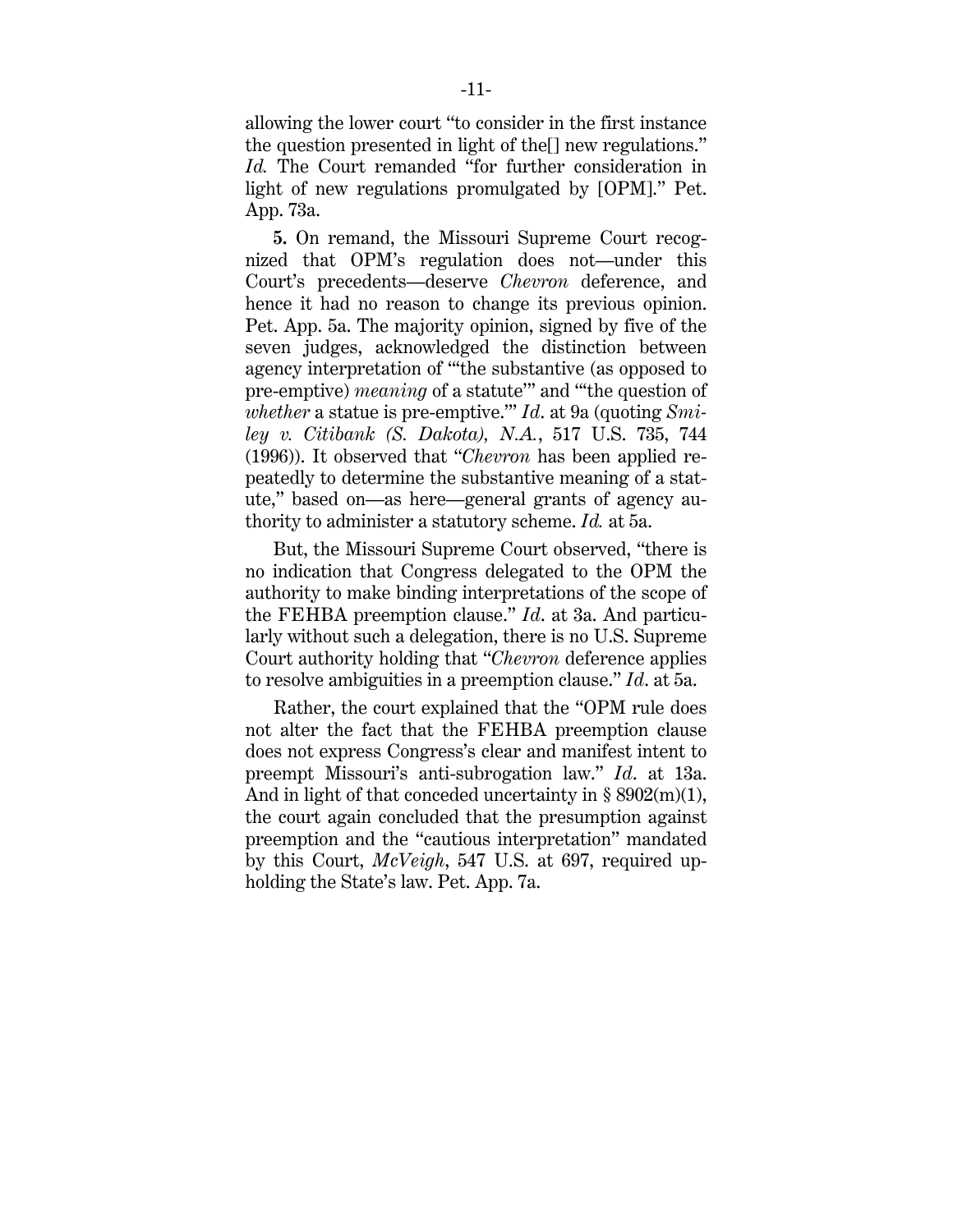allowing the lower court "to consider in the first instance the question presented in light of the[] new regulations." *Id.* The Court remanded "for further consideration in light of new regulations promulgated by [OPM]." Pet. App. 73a.

**5.** On remand, the Missouri Supreme Court recognized that OPM's regulation does not—under this Court's precedents—deserve *Chevron* deference, and hence it had no reason to change its previous opinion. Pet. App. 5a. The majority opinion, signed by five of the seven judges, acknowledged the distinction between agency interpretation of "'the substantive (as opposed to pre-emptive) *meaning* of a statute'" and "'the question of *whether* a statue is pre-emptive.'" *Id*. at 9a (quoting *Smiley v. Citibank (S. Dakota), N.A.*, 517 U.S. 735, 744 (1996)). It observed that "*Chevron* has been applied repeatedly to determine the substantive meaning of a statute," based on—as here—general grants of agency authority to administer a statutory scheme. *Id.* at 5a.

But, the Missouri Supreme Court observed, "there is no indication that Congress delegated to the OPM the authority to make binding interpretations of the scope of the FEHBA preemption clause." *Id*. at 3a. And particularly without such a delegation, there is no U.S. Supreme Court authority holding that "*Chevron* deference applies to resolve ambiguities in a preemption clause." *Id*. at 5a.

Rather, the court explained that the "OPM rule does not alter the fact that the FEHBA preemption clause does not express Congress's clear and manifest intent to preempt Missouri's anti-subrogation law." *Id*. at 13a. And in light of that conceded uncertainty in  $\S 8902(m)(1)$ , the court again concluded that the presumption against preemption and the "cautious interpretation" mandated by this Court, *McVeigh*, 547 U.S. at 697, required upholding the State's law. Pet. App. 7a.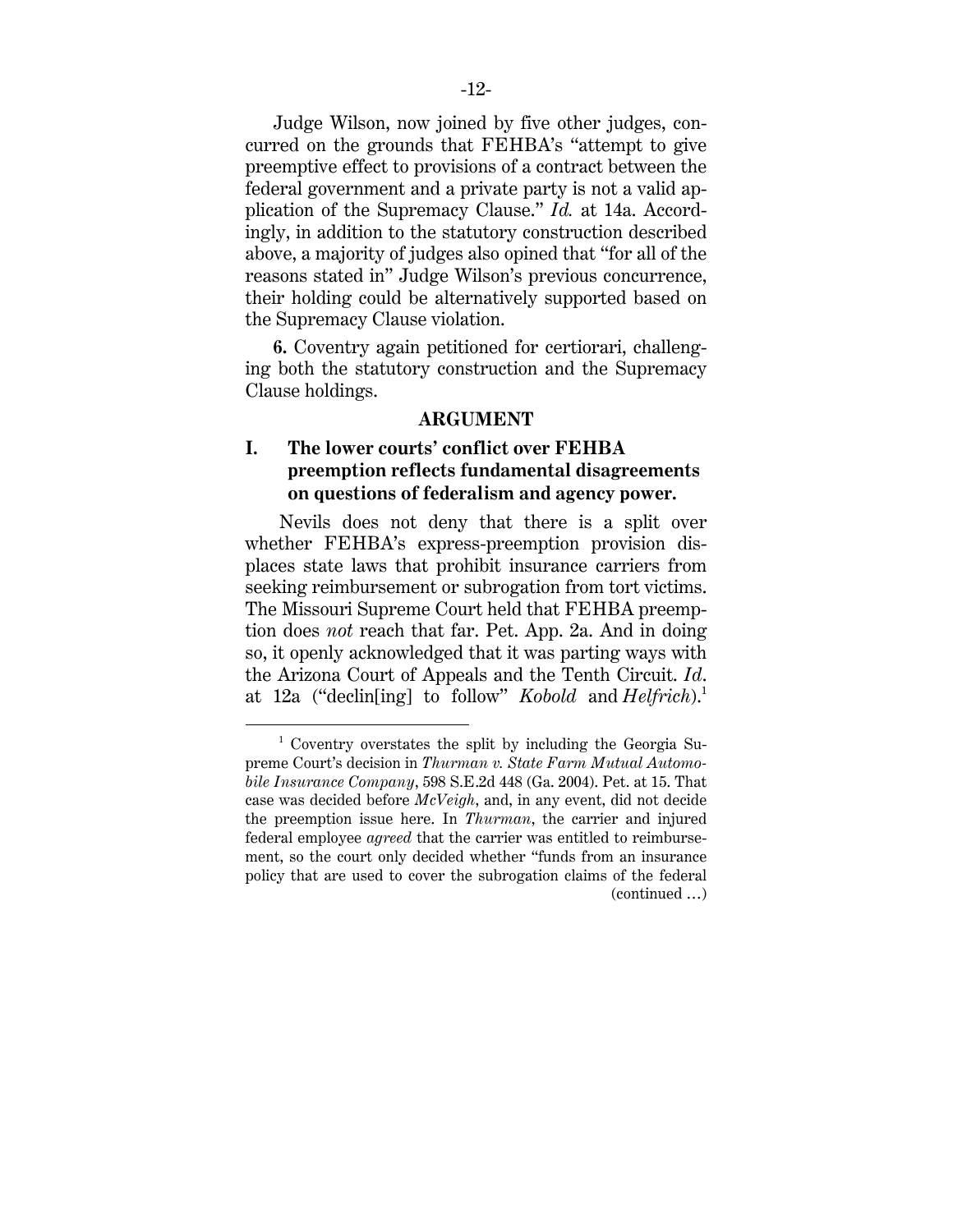Judge Wilson, now joined by five other judges, concurred on the grounds that FEHBA's "attempt to give preemptive effect to provisions of a contract between the federal government and a private party is not a valid application of the Supremacy Clause." *Id.* at 14a. Accordingly, in addition to the statutory construction described above, a majority of judges also opined that "for all of the reasons stated in" Judge Wilson's previous concurrence, their holding could be alternatively supported based on the Supremacy Clause violation.

**6.** Coventry again petitioned for certiorari, challenging both the statutory construction and the Supremacy Clause holdings.

#### **ARGUMENT**

## **I. The lower courts' conflict over FEHBA preemption reflects fundamental disagreements on questions of federalism and agency power.**

Nevils does not deny that there is a split over whether FEHBA's express-preemption provision displaces state laws that prohibit insurance carriers from seeking reimbursement or subrogation from tort victims. The Missouri Supreme Court held that FEHBA preemption does *not* reach that far. Pet. App. 2a. And in doing so, it openly acknowledged that it was parting ways with the Arizona Court of Appeals and the Tenth Circuit. *Id*. at 12a ("declin[ing] to follow" *Kobold* and *Helfrich*).1

<sup>&</sup>lt;sup>1</sup> Coventry overstates the split by including the Georgia Supreme Court's decision in *Thurman v. State Farm Mutual Automobile Insurance Company*, 598 S.E.2d 448 (Ga. 2004). Pet. at 15. That case was decided before *McVeigh*, and, in any event, did not decide the preemption issue here. In *Thurman*, the carrier and injured federal employee *agreed* that the carrier was entitled to reimbursement, so the court only decided whether "funds from an insurance policy that are used to cover the subrogation claims of the federal (continued …)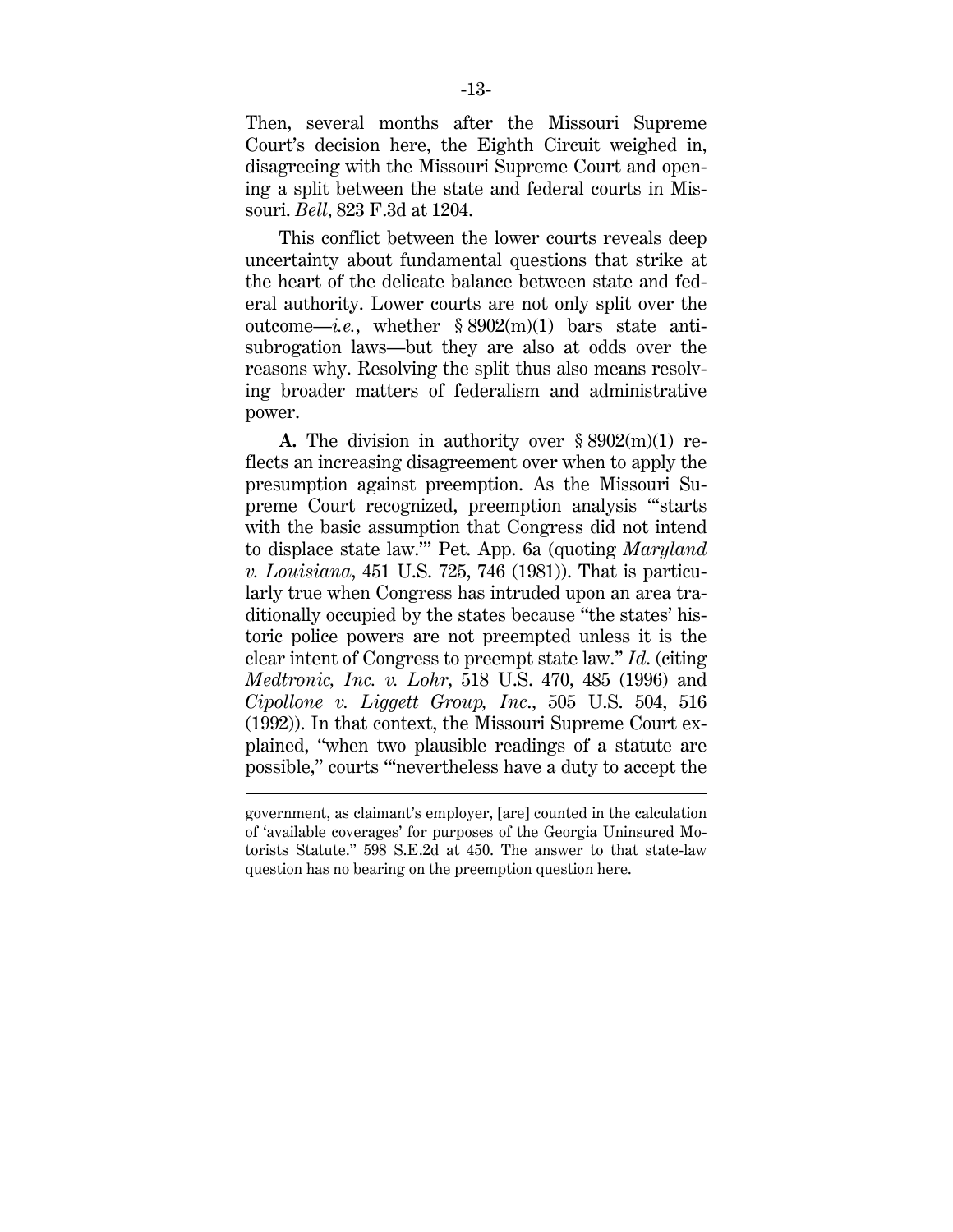Then, several months after the Missouri Supreme Court's decision here, the Eighth Circuit weighed in, disagreeing with the Missouri Supreme Court and opening a split between the state and federal courts in Missouri. *Bell*, 823 F.3d at 1204.

This conflict between the lower courts reveals deep uncertainty about fundamental questions that strike at the heart of the delicate balance between state and federal authority. Lower courts are not only split over the outcome—*i.e.*, whether  $\S 8902(m)(1)$  bars state antisubrogation laws—but they are also at odds over the reasons why. Resolving the split thus also means resolving broader matters of federalism and administrative power.

**A.** The division in authority over § 8902(m)(1) reflects an increasing disagreement over when to apply the presumption against preemption. As the Missouri Supreme Court recognized, preemption analysis "'starts with the basic assumption that Congress did not intend to displace state law.'" Pet. App. 6a (quoting *Maryland v. Louisiana*, 451 U.S. 725, 746 (1981)). That is particularly true when Congress has intruded upon an area traditionally occupied by the states because "the states' historic police powers are not preempted unless it is the clear intent of Congress to preempt state law." *Id*. (citing *Medtronic, Inc. v. Lohr*, 518 U.S. 470, 485 (1996) and *Cipollone v. Liggett Group, Inc*., 505 U.S. 504, 516 (1992)). In that context, the Missouri Supreme Court explained, "when two plausible readings of a statute are possible," courts "'nevertheless have a duty to accept the

 $\overline{a}$ 

government, as claimant's employer, [are] counted in the calculation of 'available coverages' for purposes of the Georgia Uninsured Motorists Statute." 598 S.E.2d at 450. The answer to that state-law question has no bearing on the preemption question here.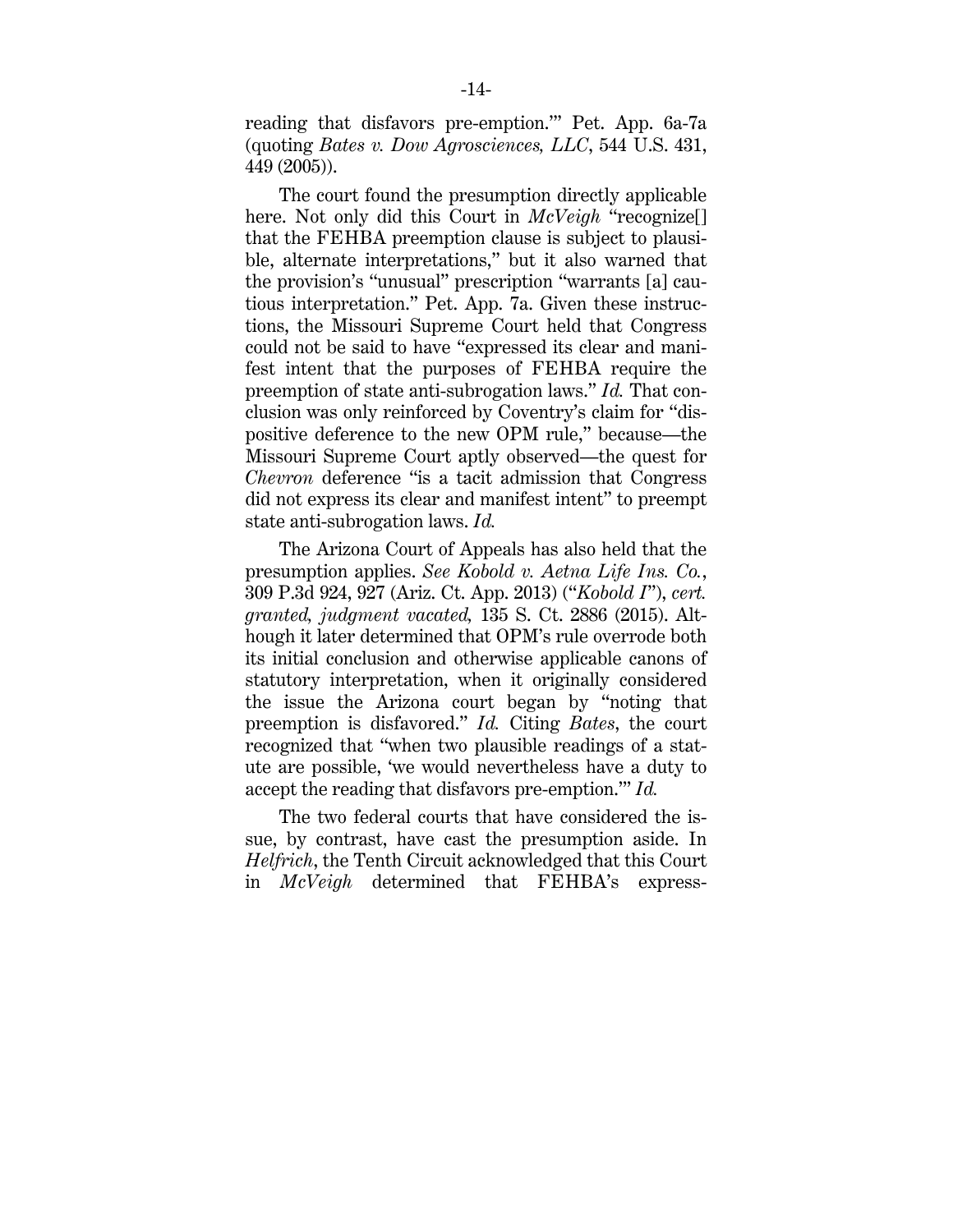reading that disfavors pre-emption.'" Pet. App. 6a-7a (quoting *Bates v. Dow Agrosciences, LLC*, 544 U.S. 431, 449 (2005)).

The court found the presumption directly applicable here. Not only did this Court in *McVeigh* "recognize[] that the FEHBA preemption clause is subject to plausible, alternate interpretations," but it also warned that the provision's "unusual" prescription "warrants [a] cautious interpretation." Pet. App. 7a. Given these instructions, the Missouri Supreme Court held that Congress could not be said to have "expressed its clear and manifest intent that the purposes of FEHBA require the preemption of state anti-subrogation laws." *Id.* That conclusion was only reinforced by Coventry's claim for "dispositive deference to the new OPM rule," because—the Missouri Supreme Court aptly observed—the quest for *Chevron* deference "is a tacit admission that Congress did not express its clear and manifest intent" to preempt state anti-subrogation laws. *Id.*

The Arizona Court of Appeals has also held that the presumption applies. *See Kobold v. Aetna Life Ins. Co.*, 309 P.3d 924, 927 (Ariz. Ct. App. 2013) ("*Kobold I*"), *cert. granted, judgment vacated,* 135 S. Ct. 2886 (2015). Although it later determined that OPM's rule overrode both its initial conclusion and otherwise applicable canons of statutory interpretation, when it originally considered the issue the Arizona court began by "noting that preemption is disfavored." *Id.* Citing *Bates*, the court recognized that "when two plausible readings of a statute are possible, 'we would nevertheless have a duty to accept the reading that disfavors pre-emption.'" *Id.*

The two federal courts that have considered the issue, by contrast, have cast the presumption aside. In *Helfrich*, the Tenth Circuit acknowledged that this Court in *McVeigh* determined that FEHBA's express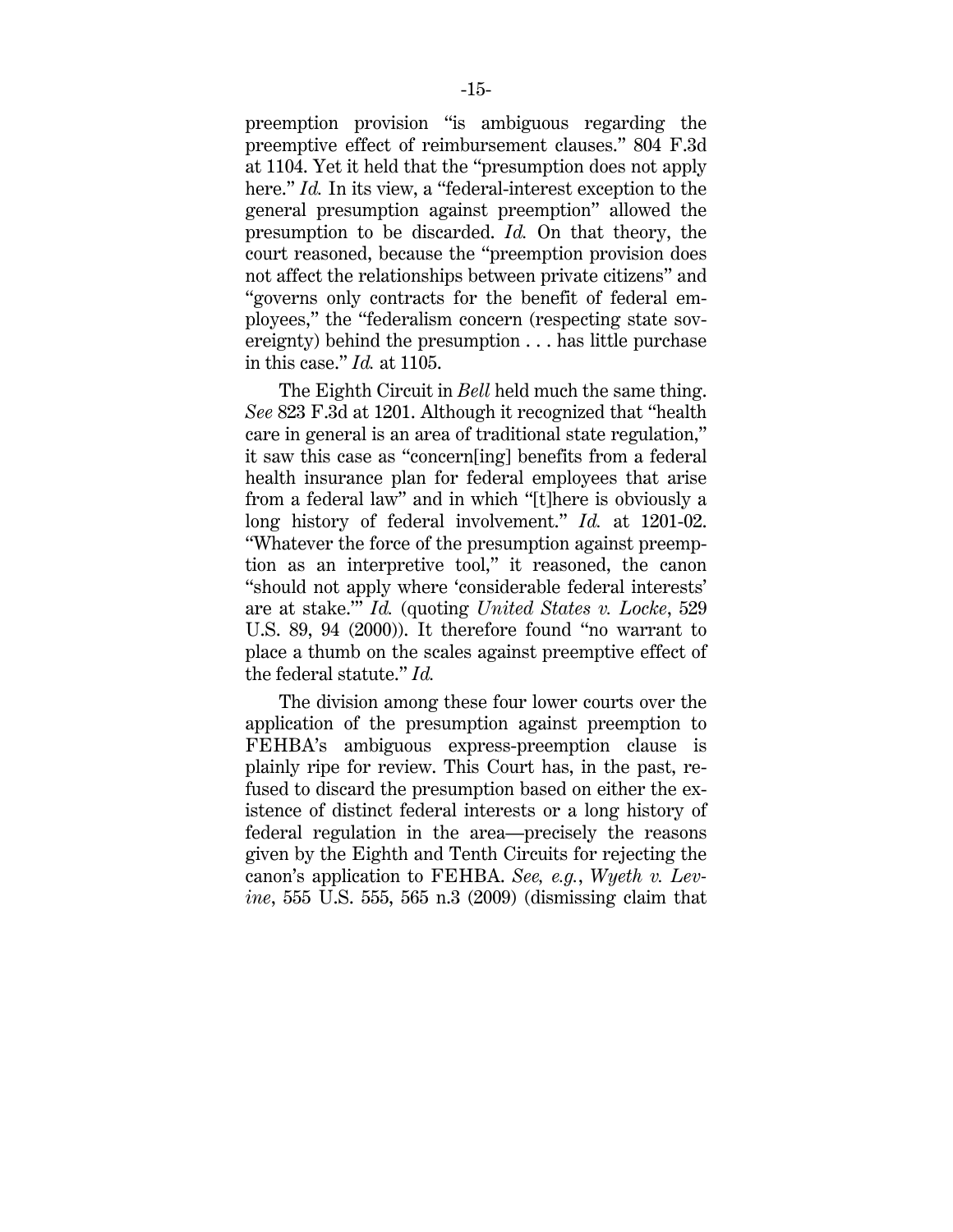preemption provision "is ambiguous regarding the preemptive effect of reimbursement clauses." 804 F.3d at 1104. Yet it held that the "presumption does not apply here." *Id.* In its view, a "federal-interest exception to the general presumption against preemption" allowed the presumption to be discarded. *Id.* On that theory, the court reasoned, because the "preemption provision does not affect the relationships between private citizens" and "governs only contracts for the benefit of federal employees," the "federalism concern (respecting state sovereignty) behind the presumption . . . has little purchase in this case." *Id.* at 1105.

The Eighth Circuit in *Bell* held much the same thing. *See* 823 F.3d at 1201. Although it recognized that "health care in general is an area of traditional state regulation," it saw this case as "concern[ing] benefits from a federal health insurance plan for federal employees that arise from a federal law" and in which "[t]here is obviously a long history of federal involvement." *Id.* at 1201-02. "Whatever the force of the presumption against preemption as an interpretive tool," it reasoned, the canon "should not apply where 'considerable federal interests' are at stake.'" *Id.* (quoting *United States v. Locke*, 529 U.S. 89, 94 (2000)). It therefore found "no warrant to place a thumb on the scales against preemptive effect of the federal statute." *Id.*

The division among these four lower courts over the application of the presumption against preemption to FEHBA's ambiguous express-preemption clause is plainly ripe for review. This Court has, in the past, refused to discard the presumption based on either the existence of distinct federal interests or a long history of federal regulation in the area—precisely the reasons given by the Eighth and Tenth Circuits for rejecting the canon's application to FEHBA. *See, e.g.*, *Wyeth v. Levine*, 555 U.S. 555, 565 n.3 (2009) (dismissing claim that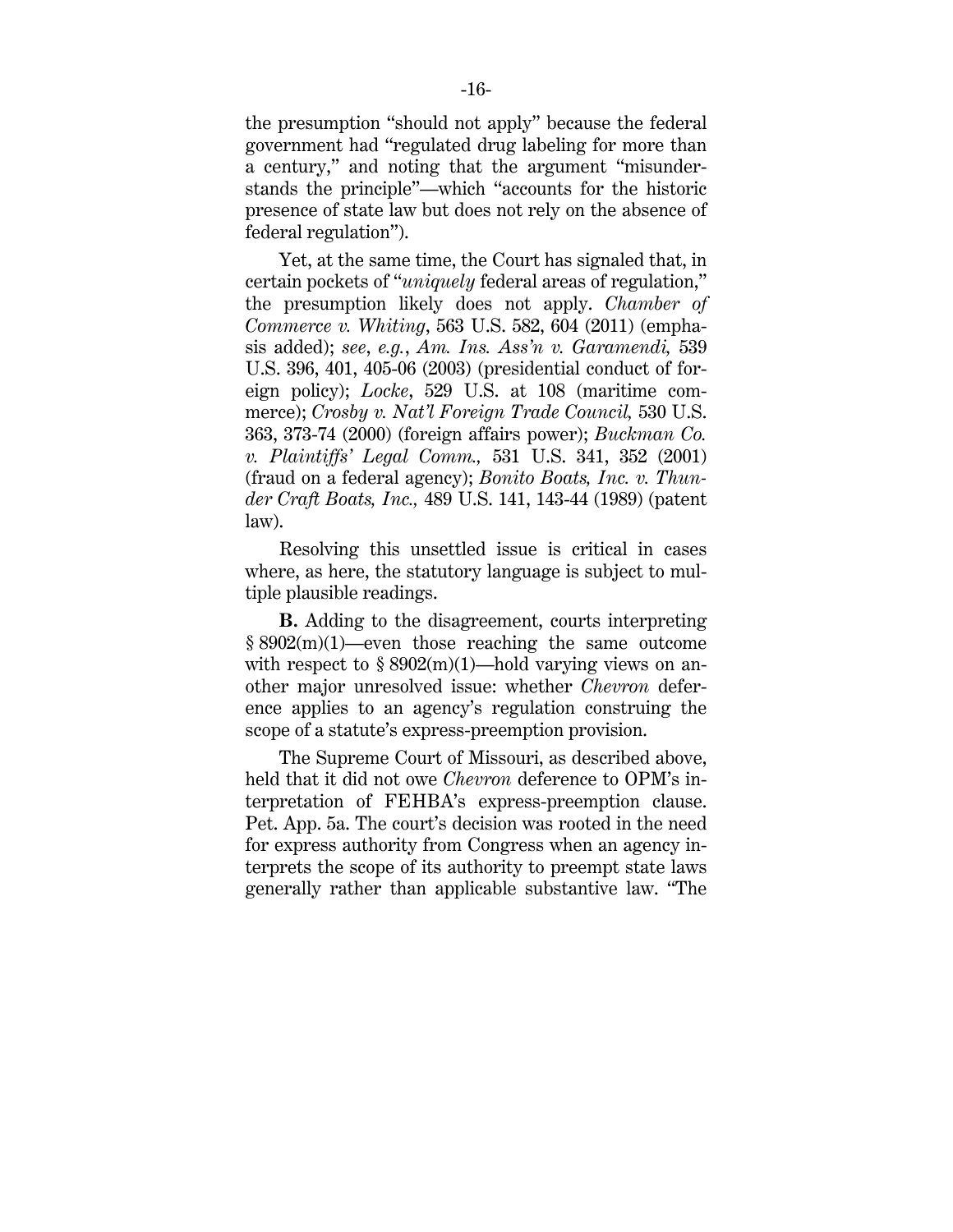the presumption "should not apply" because the federal government had "regulated drug labeling for more than a century," and noting that the argument "misunderstands the principle"—which "accounts for the historic presence of state law but does not rely on the absence of federal regulation").

Yet, at the same time, the Court has signaled that, in certain pockets of "*uniquely* federal areas of regulation," the presumption likely does not apply. *Chamber of Commerce v. Whiting*, 563 U.S. 582, 604 (2011) (emphasis added); *see*, *e.g.*, *Am. Ins. Ass'n v. Garamendi,* 539 U.S. 396, 401, 405-06 (2003) (presidential conduct of foreign policy); *Locke*, 529 U.S. at 108 (maritime commerce); *Crosby v. Nat'l Foreign Trade Council,* 530 U.S. 363, 373-74 (2000) (foreign affairs power); *Buckman Co. v. Plaintiffs' Legal Comm.,* 531 U.S. 341, 352 (2001) (fraud on a federal agency); *Bonito Boats, Inc. v. Thunder Craft Boats, Inc.,* 489 U.S. 141, 143-44 (1989) (patent law).

Resolving this unsettled issue is critical in cases where, as here, the statutory language is subject to multiple plausible readings.

**B.** Adding to the disagreement, courts interpreting § 8902(m)(1)—even those reaching the same outcome with respect to  $\S 8902(m)(1)$ —hold varying views on another major unresolved issue: whether *Chevron* deference applies to an agency's regulation construing the scope of a statute's express-preemption provision.

The Supreme Court of Missouri, as described above, held that it did not owe *Chevron* deference to OPM's interpretation of FEHBA's express-preemption clause. Pet. App. 5a. The court's decision was rooted in the need for express authority from Congress when an agency interprets the scope of its authority to preempt state laws generally rather than applicable substantive law. "The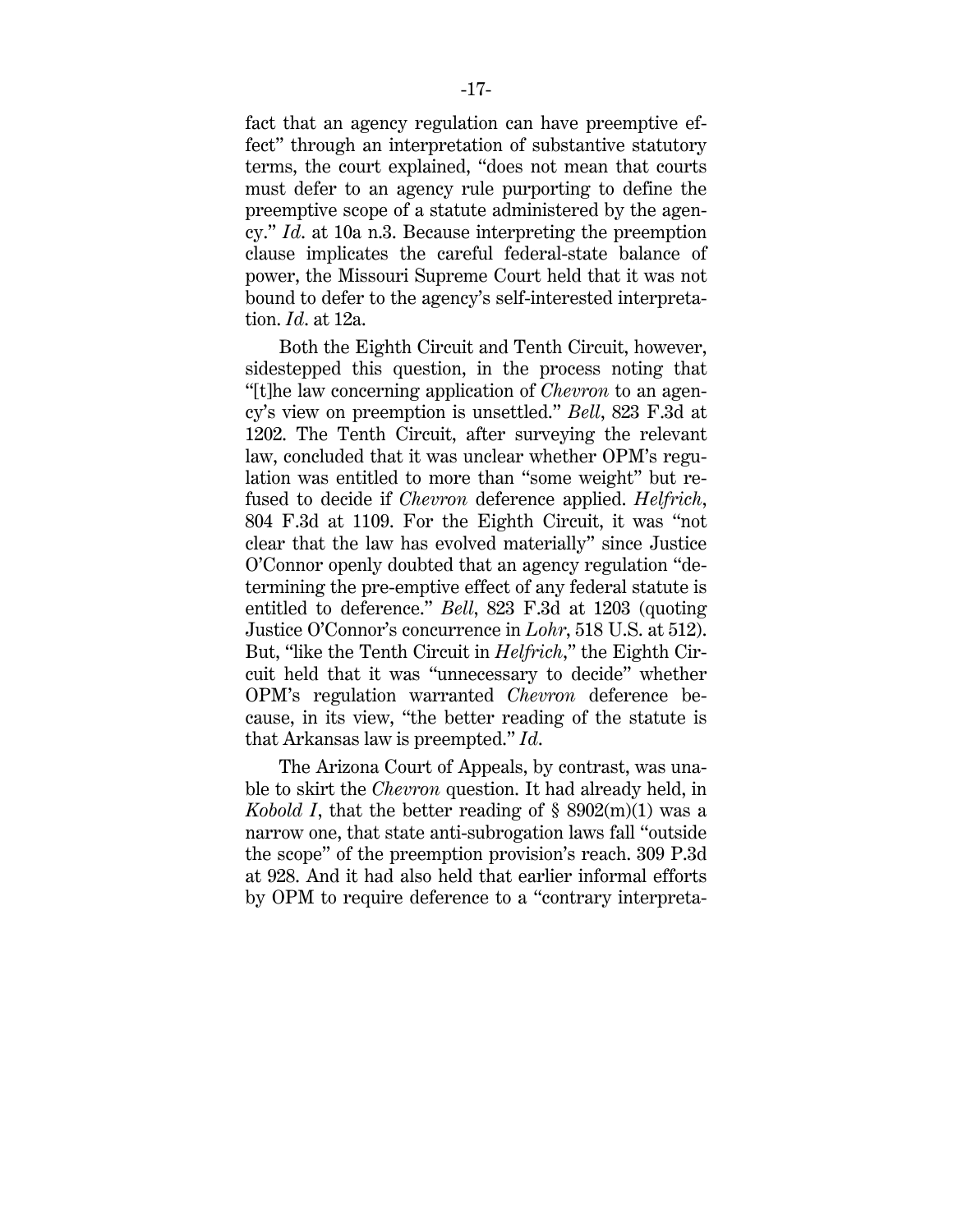fact that an agency regulation can have preemptive effect" through an interpretation of substantive statutory terms, the court explained, "does not mean that courts must defer to an agency rule purporting to define the preemptive scope of a statute administered by the agency." *Id*. at 10a n.3. Because interpreting the preemption clause implicates the careful federal-state balance of power, the Missouri Supreme Court held that it was not bound to defer to the agency's self-interested interpretation. *Id*. at 12a.

Both the Eighth Circuit and Tenth Circuit, however, sidestepped this question, in the process noting that "[t]he law concerning application of *Chevron* to an agency's view on preemption is unsettled." *Bell*, 823 F.3d at 1202. The Tenth Circuit, after surveying the relevant law, concluded that it was unclear whether OPM's regulation was entitled to more than "some weight" but refused to decide if *Chevron* deference applied. *Helfrich*, 804 F.3d at 1109. For the Eighth Circuit, it was "not clear that the law has evolved materially" since Justice O'Connor openly doubted that an agency regulation "determining the pre-emptive effect of any federal statute is entitled to deference." *Bell*, 823 F.3d at 1203 (quoting Justice O'Connor's concurrence in *Lohr*, 518 U.S. at 512). But, "like the Tenth Circuit in *Helfrich*," the Eighth Circuit held that it was "unnecessary to decide" whether OPM's regulation warranted *Chevron* deference because, in its view, "the better reading of the statute is that Arkansas law is preempted." *Id*.

The Arizona Court of Appeals, by contrast, was unable to skirt the *Chevron* question. It had already held, in *Kobold I*, that the better reading of  $\S$  8902(m)(1) was a narrow one, that state anti-subrogation laws fall "outside the scope" of the preemption provision's reach. 309 P.3d at 928. And it had also held that earlier informal efforts by OPM to require deference to a "contrary interpreta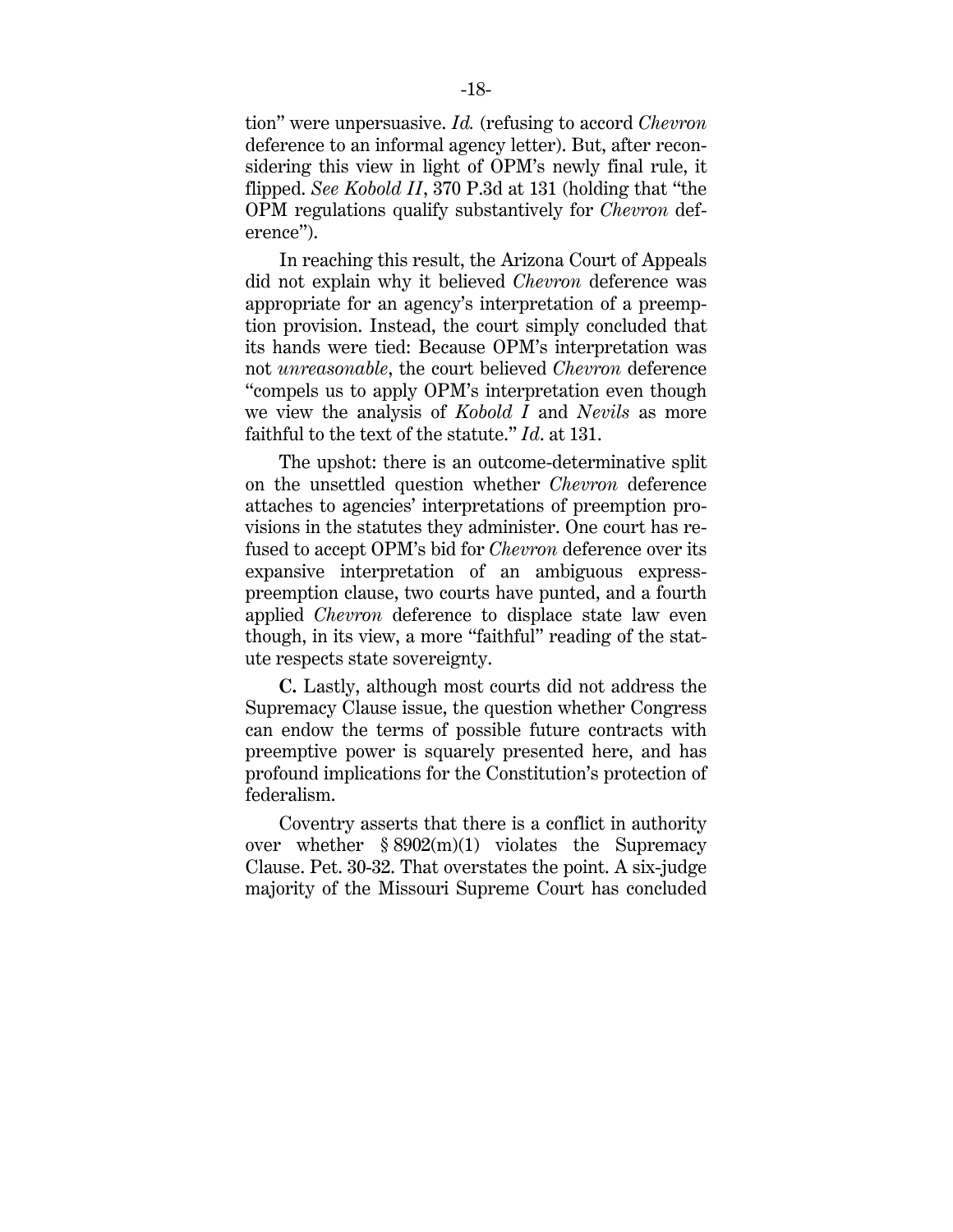tion" were unpersuasive. *Id.* (refusing to accord *Chevron*  deference to an informal agency letter). But, after reconsidering this view in light of OPM's newly final rule, it flipped. *See Kobold II*, 370 P.3d at 131 (holding that "the OPM regulations qualify substantively for *Chevron* deference").

In reaching this result, the Arizona Court of Appeals did not explain why it believed *Chevron* deference was appropriate for an agency's interpretation of a preemption provision. Instead, the court simply concluded that its hands were tied: Because OPM's interpretation was not *unreasonable*, the court believed *Chevron* deference "compels us to apply OPM's interpretation even though we view the analysis of *Kobold I* and *Nevils* as more faithful to the text of the statute." *Id*. at 131.

The upshot: there is an outcome-determinative split on the unsettled question whether *Chevron* deference attaches to agencies' interpretations of preemption provisions in the statutes they administer. One court has refused to accept OPM's bid for *Chevron* deference over its expansive interpretation of an ambiguous expresspreemption clause, two courts have punted, and a fourth applied *Chevron* deference to displace state law even though, in its view, a more "faithful" reading of the statute respects state sovereignty.

**C.** Lastly, although most courts did not address the Supremacy Clause issue, the question whether Congress can endow the terms of possible future contracts with preemptive power is squarely presented here, and has profound implications for the Constitution's protection of federalism.

Coventry asserts that there is a conflict in authority over whether  $\S 8902(m)(1)$  violates the Supremacy Clause. Pet. 30-32. That overstates the point. A six-judge majority of the Missouri Supreme Court has concluded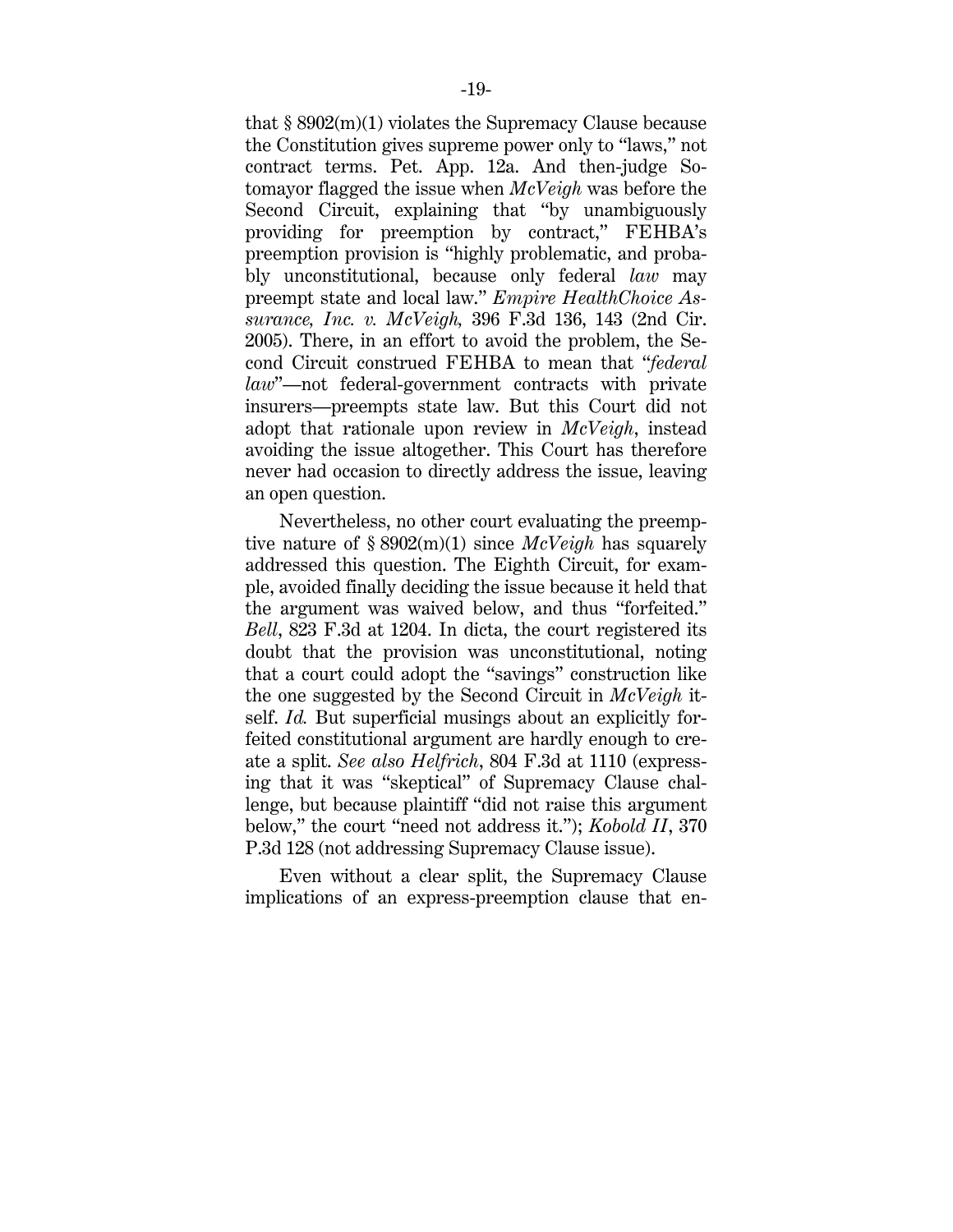that  $\S 8902(m)(1)$  violates the Supremacy Clause because the Constitution gives supreme power only to "laws," not contract terms. Pet. App. 12a. And then-judge Sotomayor flagged the issue when *McVeigh* was before the Second Circuit, explaining that "by unambiguously providing for preemption by contract," FEHBA's preemption provision is "highly problematic, and probably unconstitutional, because only federal *law* may preempt state and local law." *Empire HealthChoice Assurance, Inc. v. McVeigh,* 396 F.3d 136, 143 (2nd Cir. 2005). There, in an effort to avoid the problem, the Second Circuit construed FEHBA to mean that "*federal law*"—not federal-government contracts with private insurers—preempts state law. But this Court did not adopt that rationale upon review in *McVeigh*, instead avoiding the issue altogether. This Court has therefore never had occasion to directly address the issue, leaving an open question.

Nevertheless, no other court evaluating the preemptive nature of § 8902(m)(1) since *McVeigh* has squarely addressed this question. The Eighth Circuit, for example, avoided finally deciding the issue because it held that the argument was waived below, and thus "forfeited." *Bell*, 823 F.3d at 1204. In dicta, the court registered its doubt that the provision was unconstitutional, noting that a court could adopt the "savings" construction like the one suggested by the Second Circuit in *McVeigh* itself. *Id.* But superficial musings about an explicitly forfeited constitutional argument are hardly enough to create a split. *See also Helfrich*, 804 F.3d at 1110 (expressing that it was "skeptical" of Supremacy Clause challenge, but because plaintiff "did not raise this argument below," the court "need not address it."); *Kobold II*, 370 P.3d 128 (not addressing Supremacy Clause issue).

Even without a clear split, the Supremacy Clause implications of an express-preemption clause that en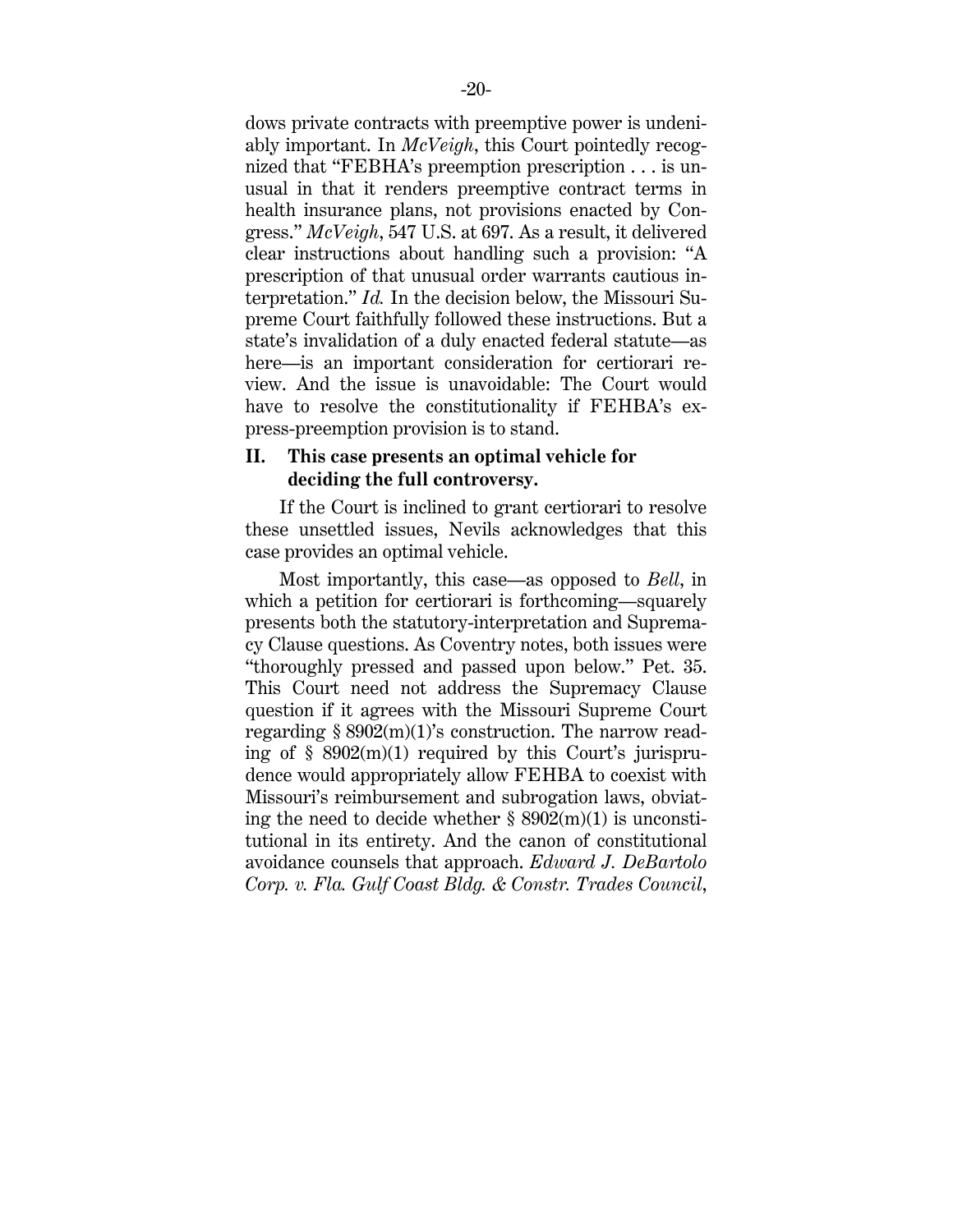dows private contracts with preemptive power is undeniably important. In *McVeigh*, this Court pointedly recognized that "FEBHA's preemption prescription . . . is unusual in that it renders preemptive contract terms in health insurance plans, not provisions enacted by Congress." *McVeigh*, 547 U.S. at 697. As a result, it delivered clear instructions about handling such a provision: "A prescription of that unusual order warrants cautious interpretation." *Id.* In the decision below, the Missouri Supreme Court faithfully followed these instructions. But a state's invalidation of a duly enacted federal statute—as here—is an important consideration for certiorari review. And the issue is unavoidable: The Court would have to resolve the constitutionality if FEHBA's express-preemption provision is to stand.

### **II. This case presents an optimal vehicle for deciding the full controversy.**

If the Court is inclined to grant certiorari to resolve these unsettled issues, Nevils acknowledges that this case provides an optimal vehicle.

Most importantly, this case—as opposed to *Bell*, in which a petition for certiorari is forthcoming—squarely presents both the statutory-interpretation and Supremacy Clause questions. As Coventry notes, both issues were "thoroughly pressed and passed upon below." Pet. 35. This Court need not address the Supremacy Clause question if it agrees with the Missouri Supreme Court regarding  $\S 8902(m)(1)$ 's construction. The narrow reading of  $\S$  8902(m)(1) required by this Court's jurisprudence would appropriately allow FEHBA to coexist with Missouri's reimbursement and subrogation laws, obviating the need to decide whether  $\S$  8902(m)(1) is unconstitutional in its entirety. And the canon of constitutional avoidance counsels that approach. *Edward J. DeBartolo Corp. v. Fla. Gulf Coast Bldg. & Constr. Trades Council*,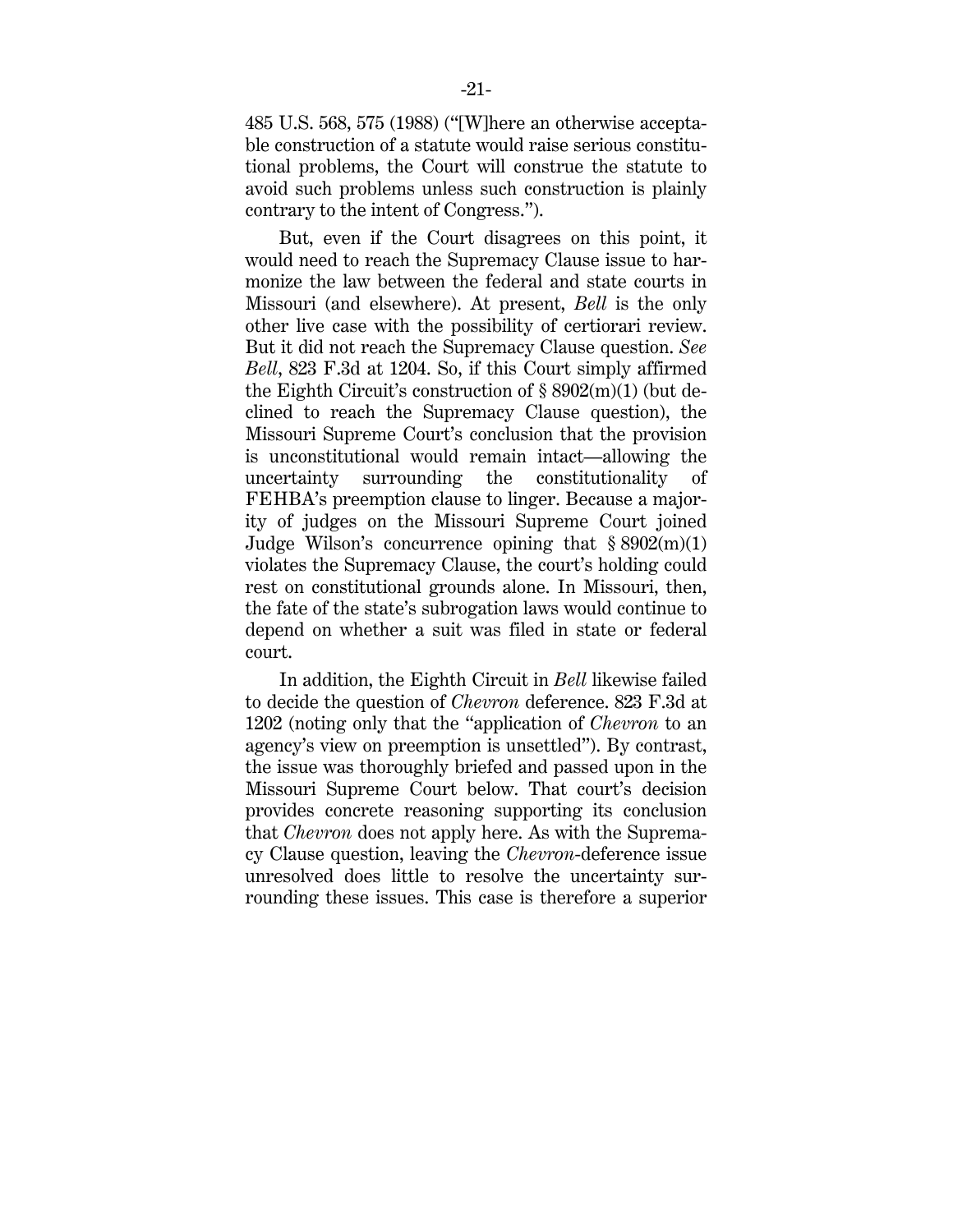485 U.S. 568, 575 (1988) ("[W]here an otherwise acceptable construction of a statute would raise serious constitutional problems, the Court will construe the statute to avoid such problems unless such construction is plainly contrary to the intent of Congress.").

But, even if the Court disagrees on this point, it would need to reach the Supremacy Clause issue to harmonize the law between the federal and state courts in Missouri (and elsewhere). At present, *Bell* is the only other live case with the possibility of certiorari review. But it did not reach the Supremacy Clause question. *See Bell*, 823 F.3d at 1204. So, if this Court simply affirmed the Eighth Circuit's construction of  $\S 8902(m)(1)$  (but declined to reach the Supremacy Clause question), the Missouri Supreme Court's conclusion that the provision is unconstitutional would remain intact—allowing the uncertainty surrounding the constitutionality of FEHBA's preemption clause to linger. Because a majority of judges on the Missouri Supreme Court joined Judge Wilson's concurrence opining that  $\S 8902(m)(1)$ violates the Supremacy Clause, the court's holding could rest on constitutional grounds alone. In Missouri, then, the fate of the state's subrogation laws would continue to depend on whether a suit was filed in state or federal court.

In addition, the Eighth Circuit in *Bell* likewise failed to decide the question of *Chevron* deference. 823 F.3d at 1202 (noting only that the "application of *Chevron* to an agency's view on preemption is unsettled"). By contrast, the issue was thoroughly briefed and passed upon in the Missouri Supreme Court below. That court's decision provides concrete reasoning supporting its conclusion that *Chevron* does not apply here. As with the Supremacy Clause question, leaving the *Chevron*-deference issue unresolved does little to resolve the uncertainty surrounding these issues. This case is therefore a superior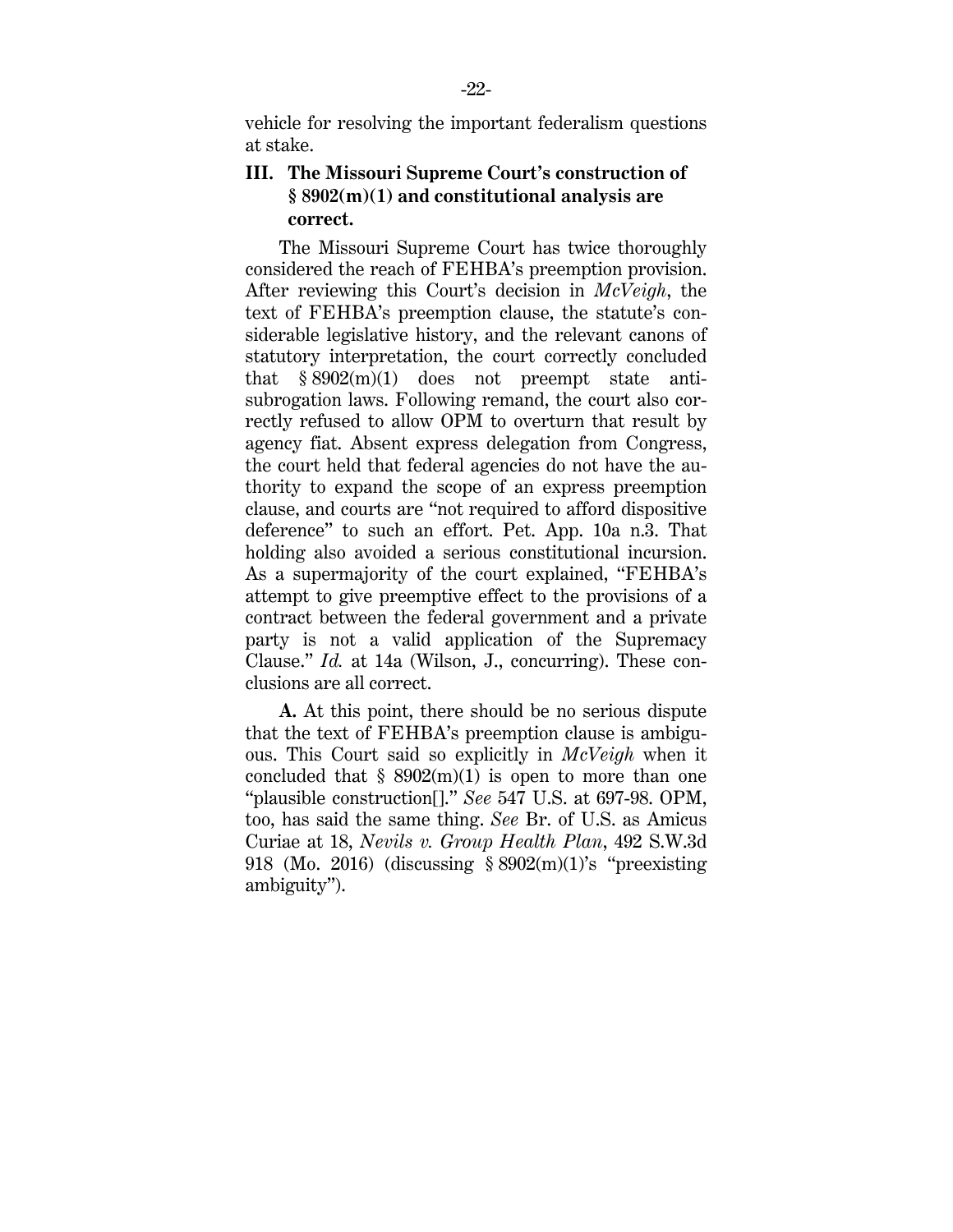vehicle for resolving the important federalism questions at stake.

## **III. The Missouri Supreme Court's construction of § 8902(m)(1) and constitutional analysis are correct.**

The Missouri Supreme Court has twice thoroughly considered the reach of FEHBA's preemption provision. After reviewing this Court's decision in *McVeigh*, the text of FEHBA's preemption clause, the statute's considerable legislative history, and the relevant canons of statutory interpretation, the court correctly concluded that  $§ 8902(m)(1)$  does not preempt state antisubrogation laws. Following remand, the court also correctly refused to allow OPM to overturn that result by agency fiat. Absent express delegation from Congress, the court held that federal agencies do not have the authority to expand the scope of an express preemption clause, and courts are "not required to afford dispositive deference" to such an effort. Pet. App. 10a n.3. That holding also avoided a serious constitutional incursion. As a supermajority of the court explained, "FEHBA's attempt to give preemptive effect to the provisions of a contract between the federal government and a private party is not a valid application of the Supremacy Clause." *Id.* at 14a (Wilson, J., concurring). These conclusions are all correct.

**A.** At this point, there should be no serious dispute that the text of FEHBA's preemption clause is ambiguous. This Court said so explicitly in *McVeigh* when it concluded that  $\S$  8902(m)(1) is open to more than one "plausible construction[]." *See* 547 U.S. at 697-98. OPM, too, has said the same thing. *See* Br. of U.S. as Amicus Curiae at 18, *Nevils v. Group Health Plan*, 492 S.W.3d 918 (Mo. 2016) (discussing § 8902(m)(1)'s "preexisting ambiguity").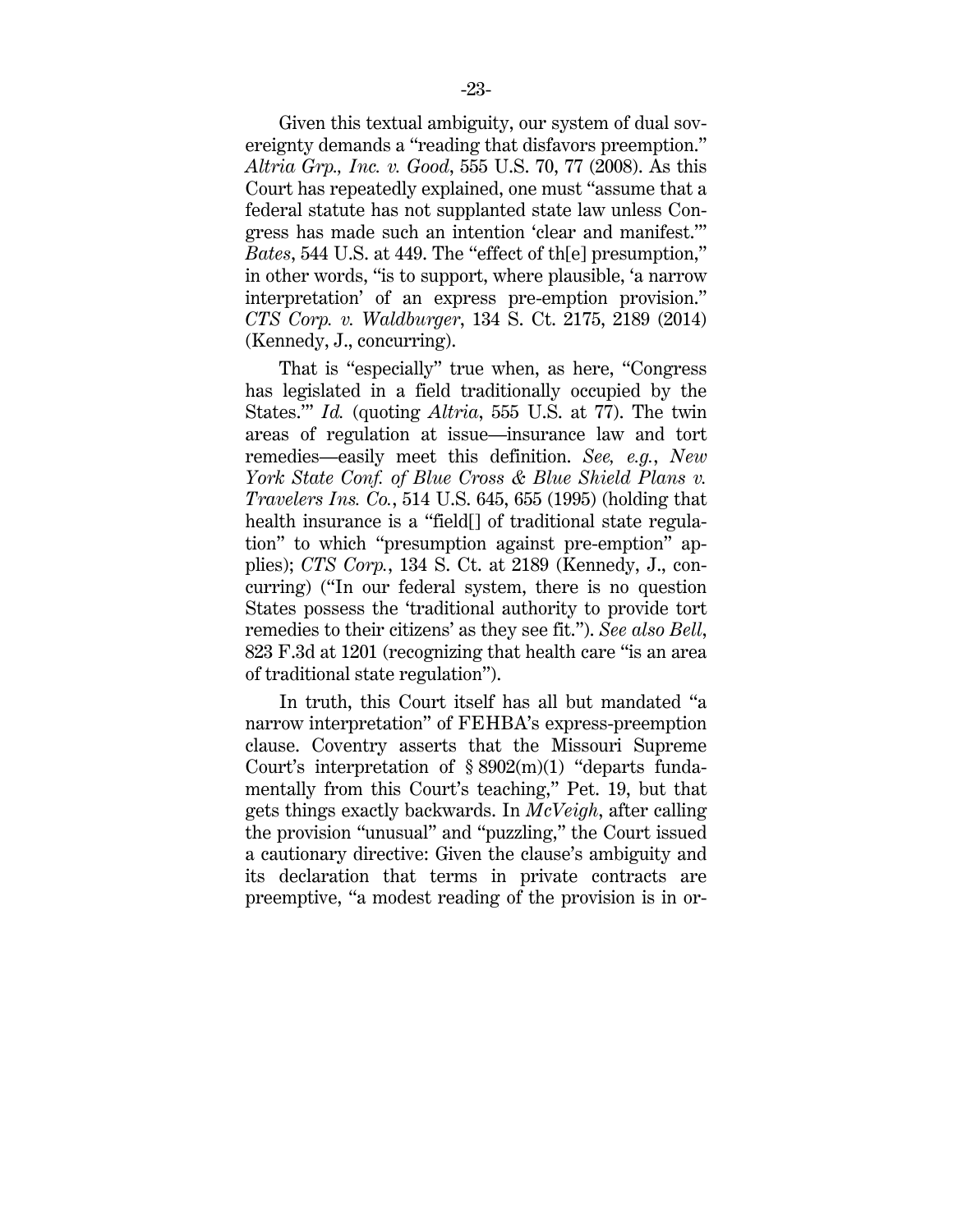Given this textual ambiguity, our system of dual sovereignty demands a "reading that disfavors preemption." *Altria Grp., Inc. v. Good*, 555 U.S. 70, 77 (2008). As this Court has repeatedly explained, one must "assume that a federal statute has not supplanted state law unless Congress has made such an intention 'clear and manifest.'" *Bates*, 544 U.S. at 449. The "effect of th[e] presumption," in other words, "is to support, where plausible, 'a narrow interpretation' of an express pre-emption provision." *CTS Corp. v. Waldburger*, 134 S. Ct. 2175, 2189 (2014) (Kennedy, J., concurring).

That is "especially" true when, as here, "Congress has legislated in a field traditionally occupied by the States.'" *Id.* (quoting *Altria*, 555 U.S. at 77). The twin areas of regulation at issue—insurance law and tort remedies—easily meet this definition. *See, e.g.*, *New York State Conf. of Blue Cross & Blue Shield Plans v. Travelers Ins. Co.*, 514 U.S. 645, 655 (1995) (holding that health insurance is a "field[] of traditional state regulation" to which "presumption against pre-emption" applies); *CTS Corp.*, 134 S. Ct. at 2189 (Kennedy, J., concurring) ("In our federal system, there is no question States possess the 'traditional authority to provide tort remedies to their citizens' as they see fit."). *See also Bell*, 823 F.3d at 1201 (recognizing that health care "is an area of traditional state regulation").

In truth, this Court itself has all but mandated "a narrow interpretation" of FEHBA's express-preemption clause. Coventry asserts that the Missouri Supreme Court's interpretation of  $\S 8902(m)(1)$  "departs fundamentally from this Court's teaching," Pet. 19, but that gets things exactly backwards. In *McVeigh*, after calling the provision "unusual" and "puzzling," the Court issued a cautionary directive: Given the clause's ambiguity and its declaration that terms in private contracts are preemptive, "a modest reading of the provision is in or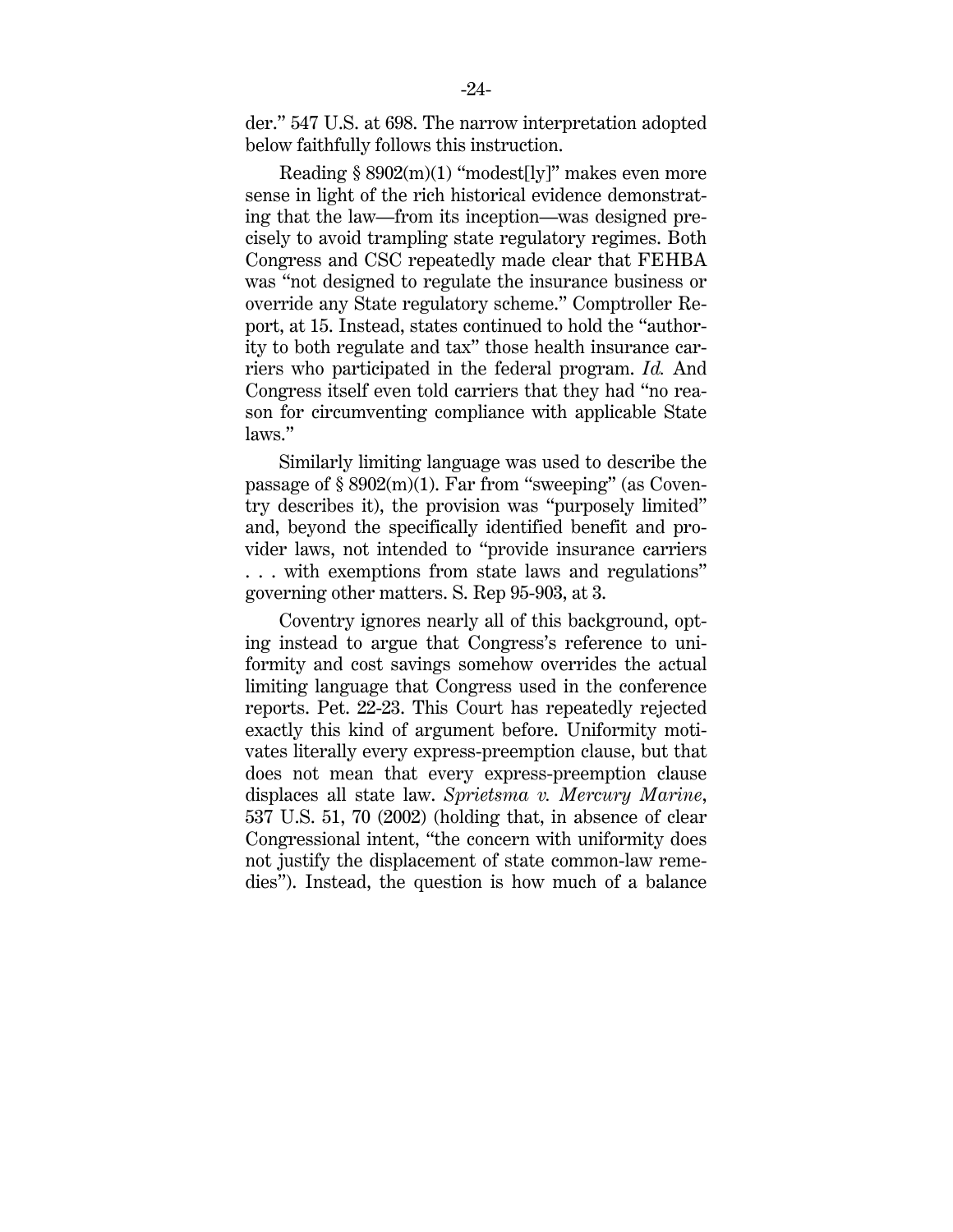der." 547 U.S. at 698. The narrow interpretation adopted below faithfully follows this instruction.

Reading  $§ 8902(m)(1)$  "modest[ly]" makes even more sense in light of the rich historical evidence demonstrating that the law—from its inception—was designed precisely to avoid trampling state regulatory regimes. Both Congress and CSC repeatedly made clear that FEHBA was "not designed to regulate the insurance business or override any State regulatory scheme." Comptroller Report, at 15. Instead, states continued to hold the "authority to both regulate and tax" those health insurance carriers who participated in the federal program. *Id.* And Congress itself even told carriers that they had "no reason for circumventing compliance with applicable State laws."

Similarly limiting language was used to describe the passage of § 8902(m)(1). Far from "sweeping" (as Coventry describes it), the provision was "purposely limited" and, beyond the specifically identified benefit and provider laws, not intended to "provide insurance carriers . . . with exemptions from state laws and regulations" governing other matters. S. Rep 95-903, at 3.

Coventry ignores nearly all of this background, opting instead to argue that Congress's reference to uniformity and cost savings somehow overrides the actual limiting language that Congress used in the conference reports. Pet. 22-23. This Court has repeatedly rejected exactly this kind of argument before. Uniformity motivates literally every express-preemption clause, but that does not mean that every express-preemption clause displaces all state law. *Sprietsma v. Mercury Marine*, 537 U.S. 51, 70 (2002) (holding that, in absence of clear Congressional intent, "the concern with uniformity does not justify the displacement of state common-law remedies"). Instead, the question is how much of a balance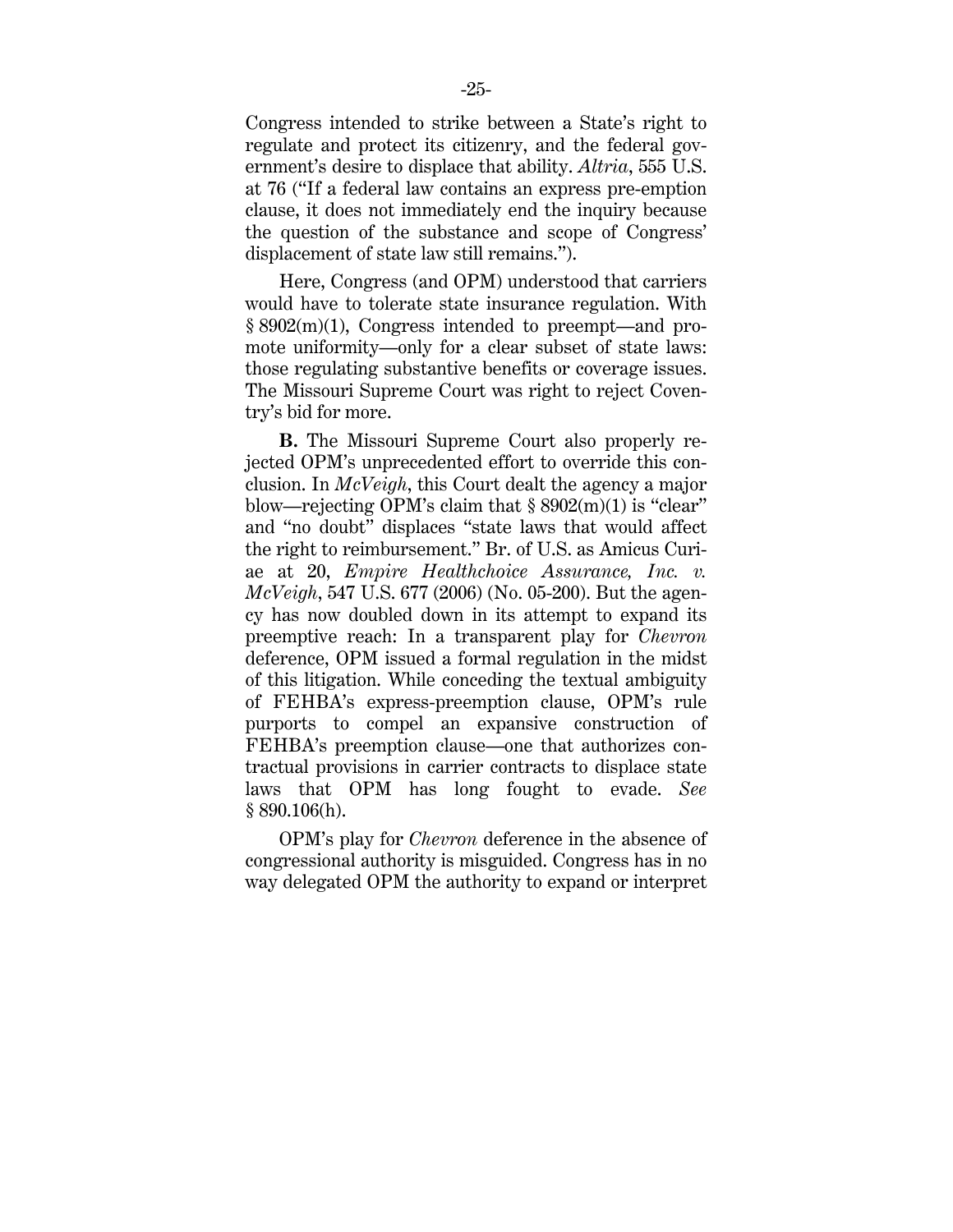Congress intended to strike between a State's right to regulate and protect its citizenry, and the federal government's desire to displace that ability. *Altria*, 555 U.S. at 76 ("If a federal law contains an express pre-emption clause, it does not immediately end the inquiry because the question of the substance and scope of Congress' displacement of state law still remains.").

Here, Congress (and OPM) understood that carriers would have to tolerate state insurance regulation. With § 8902(m)(1), Congress intended to preempt—and promote uniformity—only for a clear subset of state laws: those regulating substantive benefits or coverage issues. The Missouri Supreme Court was right to reject Coventry's bid for more.

**B.** The Missouri Supreme Court also properly rejected OPM's unprecedented effort to override this conclusion. In *McVeigh*, this Court dealt the agency a major blow—rejecting OPM's claim that  $\S 8902(m)(1)$  is "clear" and "no doubt" displaces "state laws that would affect the right to reimbursement." Br. of U.S. as Amicus Curiae at 20, *Empire Healthchoice Assurance, Inc. v. McVeigh*, 547 U.S. 677 (2006) (No. 05-200). But the agency has now doubled down in its attempt to expand its preemptive reach: In a transparent play for *Chevron* deference, OPM issued a formal regulation in the midst of this litigation. While conceding the textual ambiguity of FEHBA's express-preemption clause, OPM's rule purports to compel an expansive construction of FEHBA's preemption clause—one that authorizes contractual provisions in carrier contracts to displace state laws that OPM has long fought to evade. *See*  $§ 890.106(h).$ 

OPM's play for *Chevron* deference in the absence of congressional authority is misguided. Congress has in no way delegated OPM the authority to expand or interpret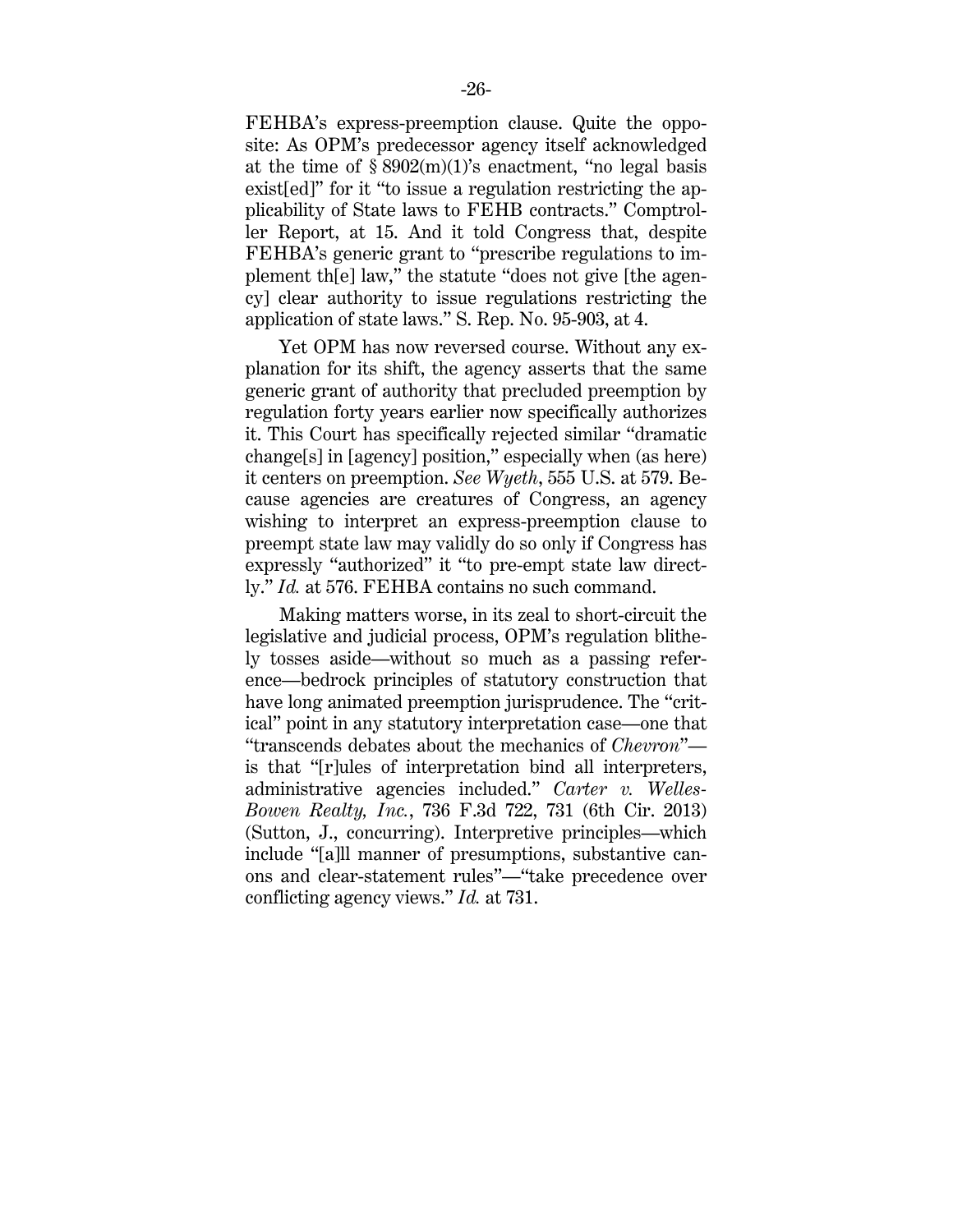FEHBA's express-preemption clause. Quite the opposite: As OPM's predecessor agency itself acknowledged at the time of  $\S 8902(m)(1)$ 's enactment, "no legal basis exist[ed]" for it "to issue a regulation restricting the applicability of State laws to FEHB contracts." Comptroller Report, at 15. And it told Congress that, despite FEHBA's generic grant to "prescribe regulations to implement th[e] law," the statute "does not give [the agency] clear authority to issue regulations restricting the application of state laws." S. Rep. No. 95-903, at 4.

Yet OPM has now reversed course. Without any explanation for its shift, the agency asserts that the same generic grant of authority that precluded preemption by regulation forty years earlier now specifically authorizes it. This Court has specifically rejected similar "dramatic change[s] in [agency] position," especially when (as here) it centers on preemption. *See Wyeth*, 555 U.S. at 579. Because agencies are creatures of Congress, an agency wishing to interpret an express-preemption clause to preempt state law may validly do so only if Congress has expressly "authorized" it "to pre-empt state law directly." *Id.* at 576. FEHBA contains no such command.

Making matters worse, in its zeal to short-circuit the legislative and judicial process, OPM's regulation blithely tosses aside—without so much as a passing reference—bedrock principles of statutory construction that have long animated preemption jurisprudence. The "critical" point in any statutory interpretation case—one that "transcends debates about the mechanics of *Chevron*" is that "[r]ules of interpretation bind all interpreters, administrative agencies included." *Carter v. Welles-Bowen Realty, Inc.*, 736 F.3d 722, 731 (6th Cir. 2013) (Sutton, J., concurring). Interpretive principles—which include "[a]ll manner of presumptions, substantive canons and clear-statement rules"—"take precedence over conflicting agency views." *Id.* at 731.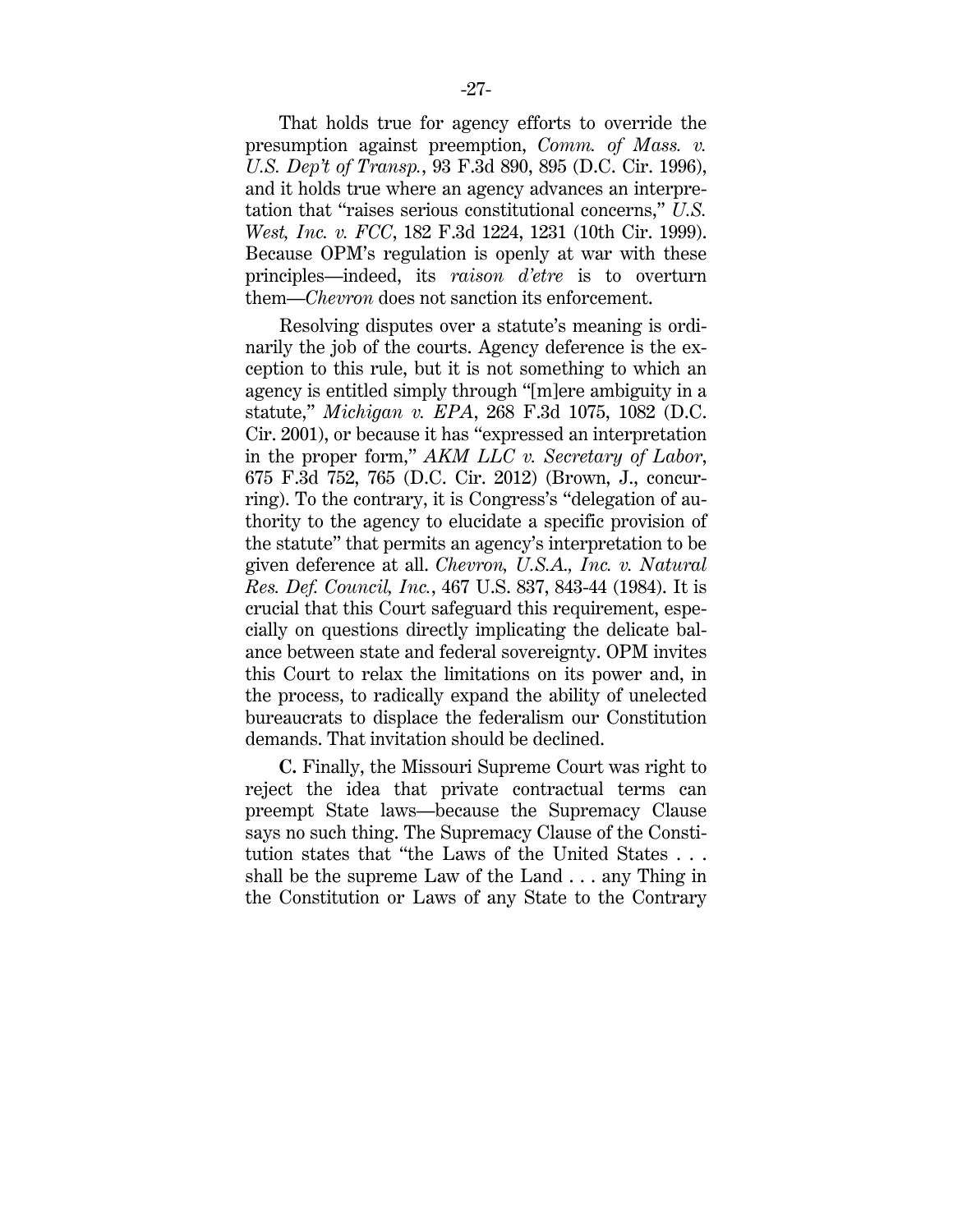That holds true for agency efforts to override the presumption against preemption, *Comm. of Mass. v. U.S. Dep't of Transp.*, 93 F.3d 890, 895 (D.C. Cir. 1996), and it holds true where an agency advances an interpretation that "raises serious constitutional concerns," *U.S. West, Inc. v. FCC*, 182 F.3d 1224, 1231 (10th Cir. 1999). Because OPM's regulation is openly at war with these principles—indeed, its *raison d'etre* is to overturn them—*Chevron* does not sanction its enforcement.

Resolving disputes over a statute's meaning is ordinarily the job of the courts. Agency deference is the exception to this rule, but it is not something to which an agency is entitled simply through "[m]ere ambiguity in a statute," *Michigan v. EPA*, 268 F.3d 1075, 1082 (D.C. Cir. 2001), or because it has "expressed an interpretation in the proper form," *AKM LLC v. Secretary of Labor*, 675 F.3d 752, 765 (D.C. Cir. 2012) (Brown, J., concurring). To the contrary, it is Congress's "delegation of authority to the agency to elucidate a specific provision of the statute" that permits an agency's interpretation to be given deference at all. *Chevron, U.S.A., Inc. v. Natural Res. Def. Council, Inc.*, 467 U.S. 837, 843-44 (1984). It is crucial that this Court safeguard this requirement, especially on questions directly implicating the delicate balance between state and federal sovereignty. OPM invites this Court to relax the limitations on its power and, in the process, to radically expand the ability of unelected bureaucrats to displace the federalism our Constitution demands. That invitation should be declined.

**C.** Finally, the Missouri Supreme Court was right to reject the idea that private contractual terms can preempt State laws—because the Supremacy Clause says no such thing. The Supremacy Clause of the Constitution states that "the Laws of the United States . . . shall be the supreme Law of the Land . . . any Thing in the Constitution or Laws of any State to the Contrary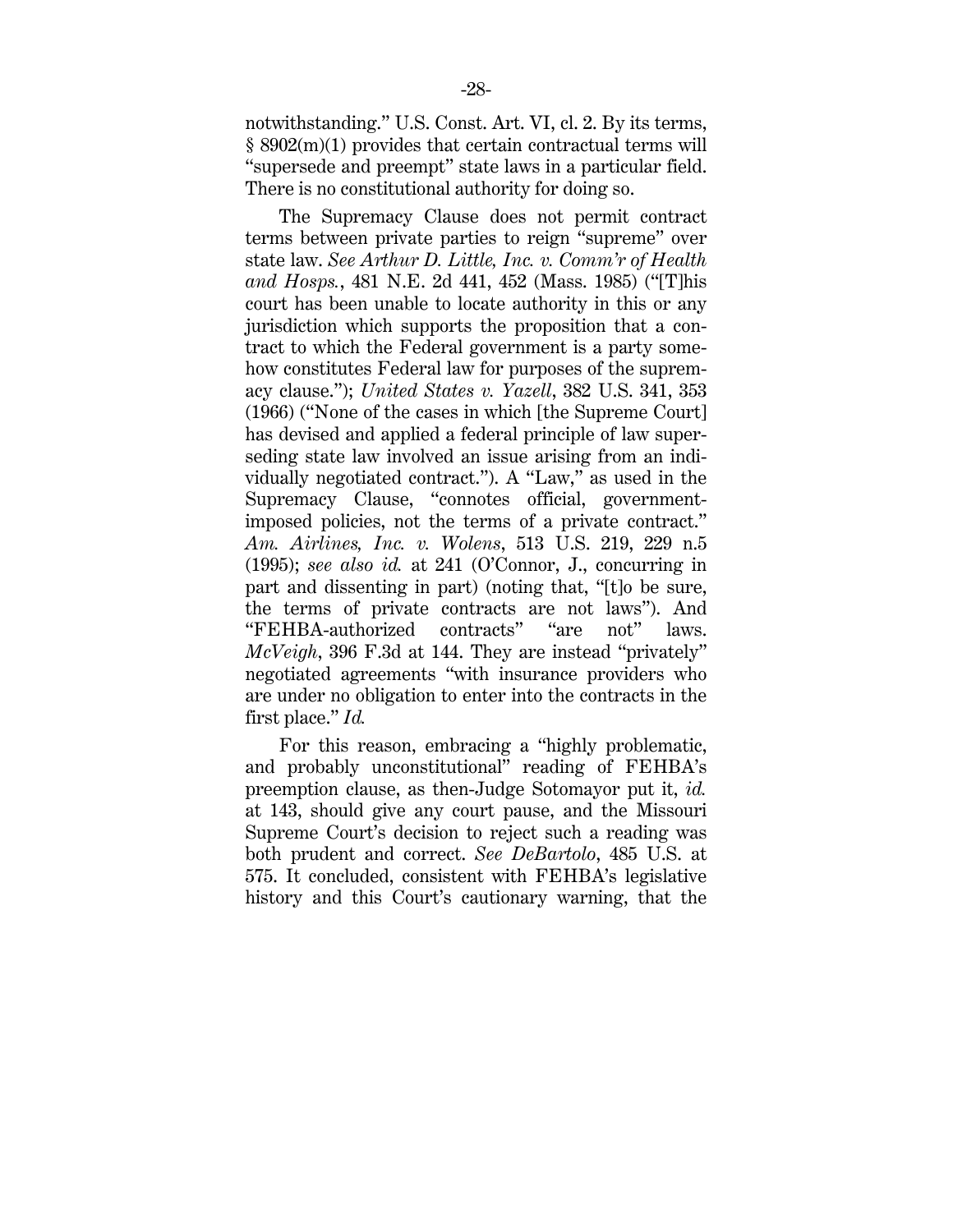notwithstanding." U.S. Const. Art. VI, cl. 2. By its terms, § 8902(m)(1) provides that certain contractual terms will "supersede and preempt" state laws in a particular field. There is no constitutional authority for doing so.

The Supremacy Clause does not permit contract terms between private parties to reign "supreme" over state law. *See Arthur D. Little, Inc. v. Comm'r of Health and Hosps.*, 481 N.E. 2d 441, 452 (Mass. 1985) ("[T]his court has been unable to locate authority in this or any jurisdiction which supports the proposition that a contract to which the Federal government is a party somehow constitutes Federal law for purposes of the supremacy clause."); *United States v. Yazell*, 382 U.S. 341, 353 (1966) ("None of the cases in which [the Supreme Court] has devised and applied a federal principle of law superseding state law involved an issue arising from an individually negotiated contract."). A "Law," as used in the Supremacy Clause, "connotes official, governmentimposed policies, not the terms of a private contract." *Am. Airlines, Inc. v. Wolens*, 513 U.S. 219, 229 n.5 (1995); *see also id.* at 241 (O'Connor, J., concurring in part and dissenting in part) (noting that, "[t]o be sure, the terms of private contracts are not laws"). And "FEHBA-authorized contracts" "are not" laws. *McVeigh*, 396 F.3d at 144. They are instead "privately" negotiated agreements "with insurance providers who are under no obligation to enter into the contracts in the first place." *Id.*

For this reason, embracing a "highly problematic, and probably unconstitutional" reading of FEHBA's preemption clause, as then-Judge Sotomayor put it, *id.* at 143, should give any court pause, and the Missouri Supreme Court's decision to reject such a reading was both prudent and correct. *See DeBartolo*, 485 U.S. at 575. It concluded, consistent with FEHBA's legislative history and this Court's cautionary warning, that the